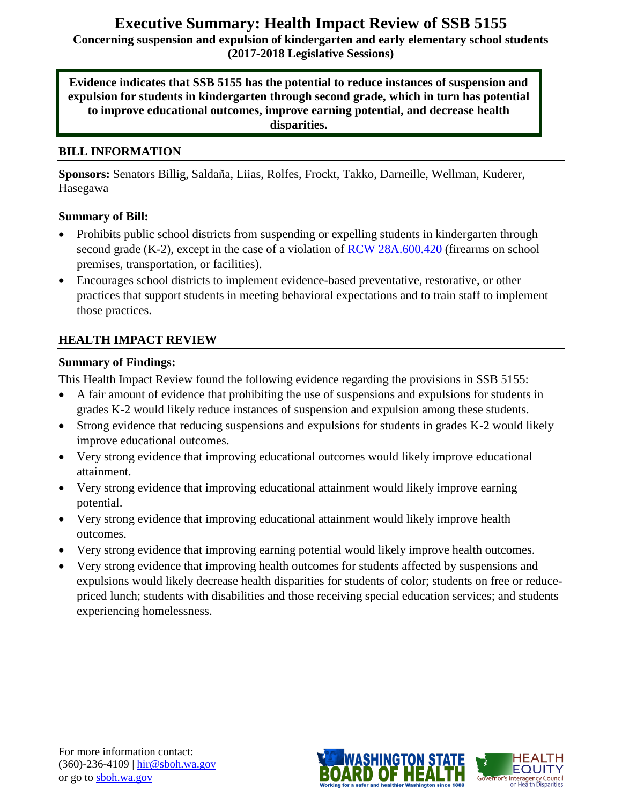# **Executive Summary: Health Impact Review of SSB 5155**

**Concerning suspension and expulsion of kindergarten and early elementary school students (2017-2018 Legislative Sessions)**

**Evidence indicates that SSB 5155 has the potential to reduce instances of suspension and expulsion for students in kindergarten through second grade, which in turn has potential to improve educational outcomes, improve earning potential, and decrease health disparities.**

### **BILL INFORMATION**

**Sponsors:** Senators Billig, Saldaña, Liias, Rolfes, Frockt, Takko, Darneille, Wellman, Kuderer, Hasegawa

### **Summary of Bill:**

- Prohibits public school districts from suspending or expelling students in kindergarten through second grade (K-2), except in the case of a violation of [RCW 28A.600.420](http://app.leg.wa.gov/rcw/default.aspx?cite=28A.600.420) (firearms on school premises, transportation, or facilities).
- Encourages school districts to implement evidence-based preventative, restorative, or other practices that support students in meeting behavioral expectations and to train staff to implement those practices.

### **HEALTH IMPACT REVIEW**

### **Summary of Findings:**

This Health Impact Review found the following evidence regarding the provisions in SSB 5155:

- A fair amount of evidence that prohibiting the use of suspensions and expulsions for students in grades K-2 would likely reduce instances of suspension and expulsion among these students.
- Strong evidence that reducing suspensions and expulsions for students in grades K-2 would likely improve educational outcomes.
- Very strong evidence that improving educational outcomes would likely improve educational attainment.
- Very strong evidence that improving educational attainment would likely improve earning potential.
- Very strong evidence that improving educational attainment would likely improve health outcomes.
- Very strong evidence that improving earning potential would likely improve health outcomes.
- Very strong evidence that improving health outcomes for students affected by suspensions and expulsions would likely decrease health disparities for students of color; students on free or reducepriced lunch; students with disabilities and those receiving special education services; and students experiencing homelessness.

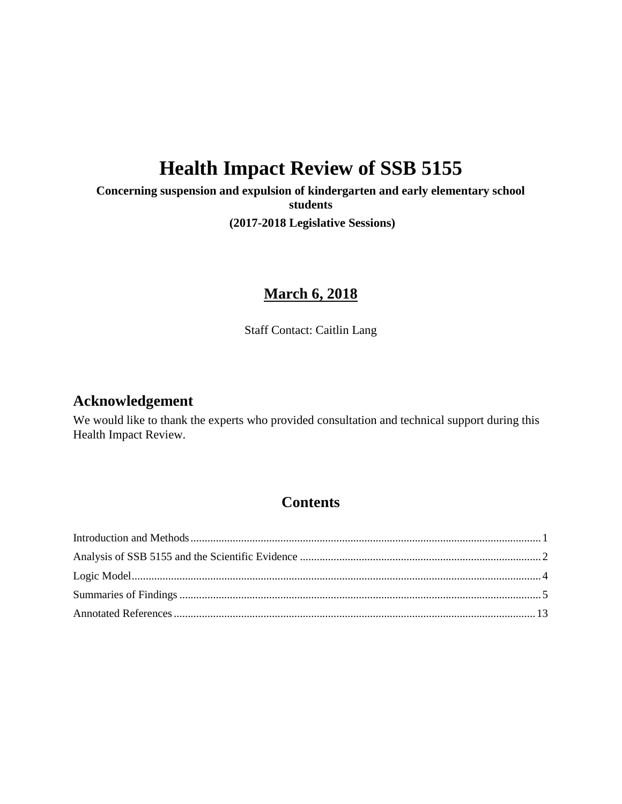# **Health Impact Review of SSB 5155**

**Concerning suspension and expulsion of kindergarten and early elementary school students**

**(2017-2018 Legislative Sessions)**

# **March 6, 2018**

Staff Contact: Caitlin Lang

### **Acknowledgement**

We would like to thank the experts who provided consultation and technical support during this Health Impact Review.

# **Contents**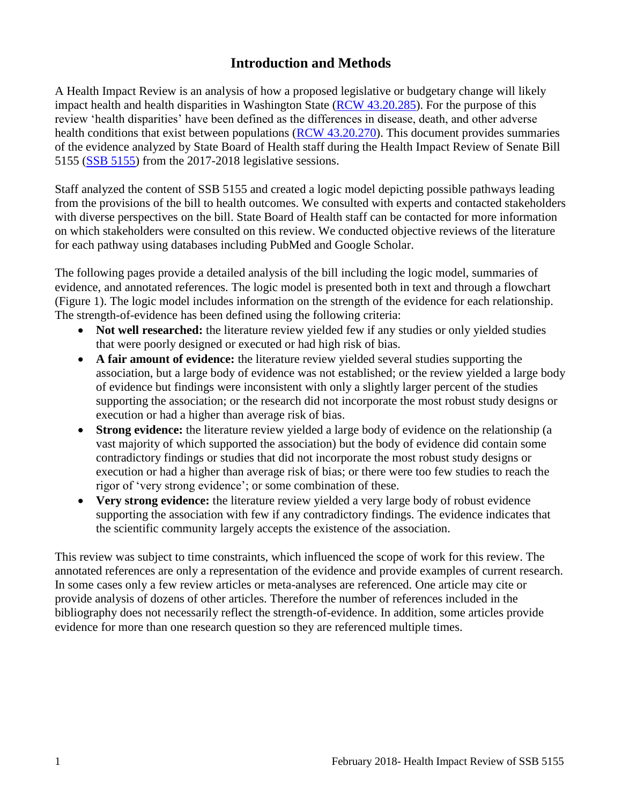# **Introduction and Methods**

<span id="page-2-0"></span>A Health Impact Review is an analysis of how a proposed legislative or budgetary change will likely impact health and health disparities in Washington State [\(RCW 43.20.285\)](http://apps.leg.wa.gov/rcw/default.aspx?cite=43.20.285). For the purpose of this review 'health disparities' have been defined as the differences in disease, death, and other adverse health conditions that exist between populations [\(RCW 43.20.270\)](http://apps.leg.wa.gov/rcw/default.aspx?cite=43.20.270). This document provides summaries of the evidence analyzed by State Board of Health staff during the Health Impact Review of Senate Bill 5155 [\(SSB 5155\)](http://app.leg.wa.gov/billsummary?BillNumber=5155&Year=2017) from the 2017-2018 legislative sessions.

Staff analyzed the content of SSB 5155 and created a logic model depicting possible pathways leading from the provisions of the bill to health outcomes. We consulted with experts and contacted stakeholders with diverse perspectives on the bill. State Board of Health staff can be contacted for more information on which stakeholders were consulted on this review. We conducted objective reviews of the literature for each pathway using databases including PubMed and Google Scholar.

The following pages provide a detailed analysis of the bill including the logic model, summaries of evidence, and annotated references. The logic model is presented both in text and through a flowchart (Figure 1). The logic model includes information on the strength of the evidence for each relationship. The strength-of-evidence has been defined using the following criteria:

- Not well researched: the literature review yielded few if any studies or only yielded studies that were poorly designed or executed or had high risk of bias.
- **A fair amount of evidence:** the literature review yielded several studies supporting the association, but a large body of evidence was not established; or the review yielded a large body of evidence but findings were inconsistent with only a slightly larger percent of the studies supporting the association; or the research did not incorporate the most robust study designs or execution or had a higher than average risk of bias.
- **Strong evidence:** the literature review yielded a large body of evidence on the relationship (a vast majority of which supported the association) but the body of evidence did contain some contradictory findings or studies that did not incorporate the most robust study designs or execution or had a higher than average risk of bias; or there were too few studies to reach the rigor of 'very strong evidence'; or some combination of these.
- **Very strong evidence:** the literature review yielded a very large body of robust evidence supporting the association with few if any contradictory findings. The evidence indicates that the scientific community largely accepts the existence of the association.

This review was subject to time constraints, which influenced the scope of work for this review. The annotated references are only a representation of the evidence and provide examples of current research. In some cases only a few review articles or meta-analyses are referenced. One article may cite or provide analysis of dozens of other articles. Therefore the number of references included in the bibliography does not necessarily reflect the strength-of-evidence. In addition, some articles provide evidence for more than one research question so they are referenced multiple times.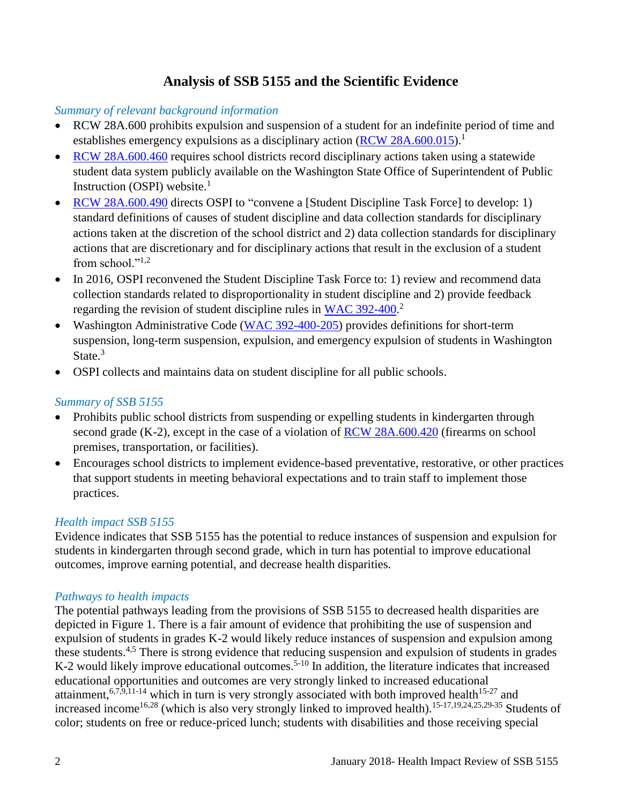## **Analysis of SSB 5155 and the Scientific Evidence**

### <span id="page-3-0"></span>*Summary of relevant background information*

- RCW 28A.600 prohibits expulsion and suspension of a student for an indefinite period of time and establishes emergency expulsions as a disciplinary action  $(RCW 28A.600.015)$ .<sup>1</sup>
- [RCW 28A.600.460](http://app.leg.wa.gov/RCW/default.aspx?cite=28A.600.460) requires school districts record disciplinary actions taken using a statewide student data system publicly available on the Washington State Office of Superintendent of Public Instruction (OSPI) website. $<sup>1</sup>$ </sup>
- [RCW 28A.600.490](http://apps.leg.wa.gov/rcw/default.aspx?cite=28A.600.490) directs OSPI to "convene a [Student Discipline Task Force] to develop: 1) standard definitions of causes of student discipline and data collection standards for disciplinary actions taken at the discretion of the school district and 2) data collection standards for disciplinary actions that are discretionary and for disciplinary actions that result in the exclusion of a student from school." $^{1,2}$  $^{1,2}$  $^{1,2}$  $^{1,2}$
- In 2016, OSPI reconvened the Student Discipline Task Force to: 1) review and recommend data collection standards related to disproportionality in student discipline and 2) provide feedback regarding the revision of student discipline rules in [WAC 392-400.](http://apps.leg.wa.gov/WAC/default.aspx?cite=392-400)<sup>2</sup>
- Washington Administrative Code [\(WAC 392-400-205\)](http://apps.leg.wa.gov/WAC/default.aspx?cite=392-400-205) provides definitions for short-term suspension, long-term suspension, expulsion, and emergency expulsion of students in Washington State.<sup>3</sup>
- OSPI collects and maintains data on student discipline for all public schools.

### *Summary of SSB 5155*

- Prohibits public school districts from suspending or expelling students in kindergarten through second grade (K-2), except in the case of a violation of [RCW 28A.600.420](http://app.leg.wa.gov/rcw/default.aspx?cite=28A.600.420) (firearms on school premises, transportation, or facilities).
- Encourages school districts to implement evidence-based preventative, restorative, or other practices that support students in meeting behavioral expectations and to train staff to implement those practices.

### *Health impact SSB 5155*

Evidence indicates that SSB 5155 has the potential to reduce instances of suspension and expulsion for students in kindergarten through second grade, which in turn has potential to improve educational outcomes, improve earning potential, and decrease health disparities.

### *Pathways to health impacts*

The potential pathways leading from the provisions of SSB 5155 to decreased health disparities are depicted in Figure 1. There is a fair amount of evidence that prohibiting the use of suspension and expulsion of students in grades K-2 would likely reduce instances of suspension and expulsion among these students.<sup>[4](#page-14-2)[,5](#page-15-0)</sup> There is strong evidence that reducing suspension and expulsion of students in grades K-2 would likely improve educational outcomes.<sup>5-10</sup> In addition, the literature indicates that increased educational opportunities and outcomes are very strongly linked to increased educational attainment,  $6,7,9,11-14$  $6,7,9,11-14$  $6,7,9,11-14$  $6,7,9,11-14$  which in turn is very strongly associated with both improved health<sup>15-27</sup> and increased income<sup>[16,](#page-20-0)[28](#page-22-0)</sup> (which is also very strongly linked to improved health).<sup>[15-17](#page-19-1)[,19](#page-20-1)[,24](#page-21-0)[,25](#page-21-1)[,29-35](#page-22-1)</sup> Students of color; students on free or reduce-priced lunch; students with disabilities and those receiving special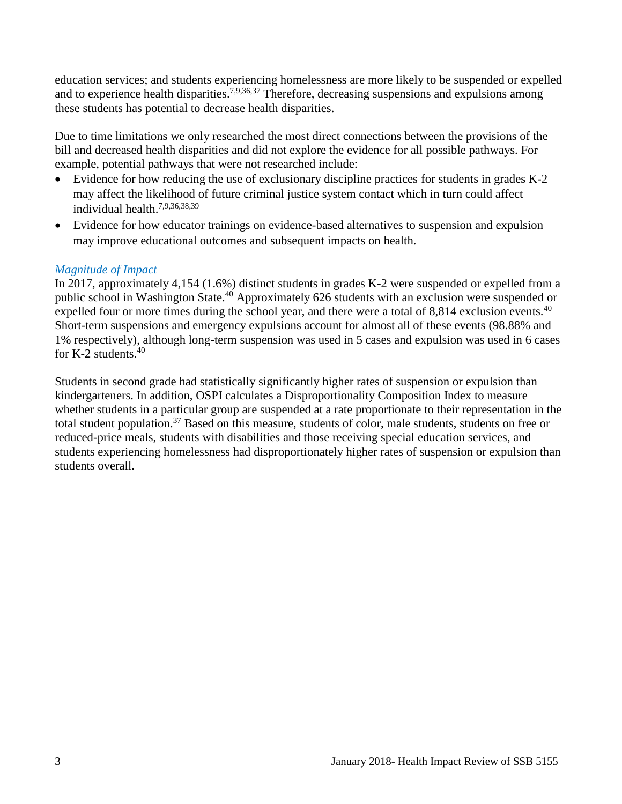education services; and students experiencing homelessness are more likely to be suspended or expelled and to experience health disparities.<sup>[7,](#page-16-0)[9,](#page-17-0)[36,](#page-24-0)[37](#page-24-1)</sup> Therefore, decreasing suspensions and expulsions among these students has potential to decrease health disparities.

Due to time limitations we only researched the most direct connections between the provisions of the bill and decreased health disparities and did not explore the evidence for all possible pathways. For example, potential pathways that were not researched include:

- Evidence for how reducing the use of exclusionary discipline practices for students in grades K-2 may affect the likelihood of future criminal justice system contact which in turn could affect individual health. [7](#page-16-0)[,9](#page-17-0)[,36](#page-24-0)[,38](#page-25-0)[,39](#page-25-1)
- Evidence for how educator trainings on evidence-based alternatives to suspension and expulsion may improve educational outcomes and subsequent impacts on health.

#### *Magnitude of Impact*

In 2017, approximately 4,154 (1.6%) distinct students in grades K-2 were suspended or expelled from a public school in Washington State.<sup>40</sup> Approximately 626 students with an exclusion were suspended or expelled four or more times during the school year, and there were a total of  $8,814$  exclusion events.<sup>40</sup> Short-term suspensions and emergency expulsions account for almost all of these events (98.88% and 1% respectively), although long-term suspension was used in 5 cases and expulsion was used in 6 cases for K-2 students. 40

Students in second grade had statistically significantly higher rates of suspension or expulsion than kindergarteners. In addition, OSPI calculates a Disproportionality Composition Index to measure whether students in a particular group are suspended at a rate proportionate to their representation in the total student population.<sup>37</sup> Based on this measure, students of color, male students, students on free or reduced-price meals, students with disabilities and those receiving special education services, and students experiencing homelessness had disproportionately higher rates of suspension or expulsion than students overall.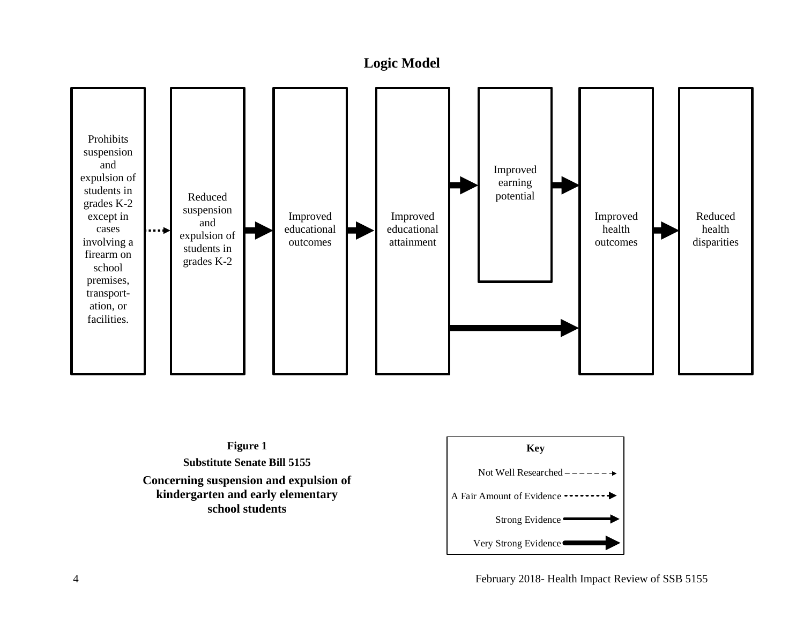### **Logic Model**

<span id="page-5-0"></span>



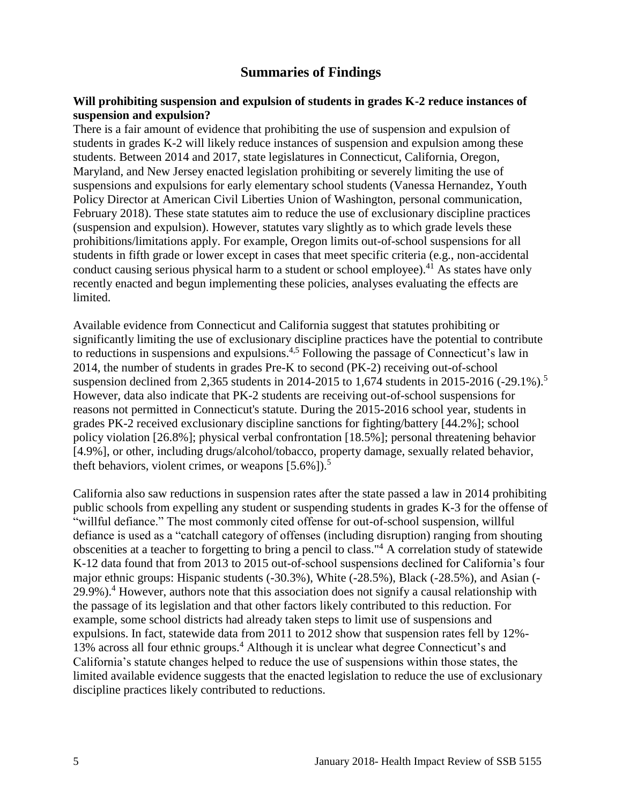### **Summaries of Findings**

#### <span id="page-6-0"></span>**Will prohibiting suspension and expulsion of students in grades K-2 reduce instances of suspension and expulsion?**

There is a fair amount of evidence that prohibiting the use of suspension and expulsion of students in grades K-2 will likely reduce instances of suspension and expulsion among these students. Between 2014 and 2017, state legislatures in Connecticut, California, Oregon, Maryland, and New Jersey enacted legislation prohibiting or severely limiting the use of suspensions and expulsions for early elementary school students (Vanessa Hernandez, Youth Policy Director at American Civil Liberties Union of Washington, personal communication, February 2018). These state statutes aim to reduce the use of exclusionary discipline practices (suspension and expulsion). However, statutes vary slightly as to which grade levels these prohibitions/limitations apply. For example, Oregon limits out-of-school suspensions for all students in fifth grade or lower except in cases that meet specific criteria (e.g., non-accidental conduct causing serious physical harm to a student or school employee).<sup>41</sup> As states have only recently enacted and begun implementing these policies, analyses evaluating the effects are limited.

Available evidence from Connecticut and California suggest that statutes prohibiting or significantly limiting the use of exclusionary discipline practices have the potential to contribute to reductions in suspensions and expulsions.[4,](#page-14-2)[5](#page-15-0) Following the passage of Connecticut's law in 2014, the number of students in grades Pre-K to second (PK-2) receiving out-of-school suspension declined from 2,365 students in 2014-2015 to 1,674 students in 2015-2016 (-29.1%).<sup>5</sup> However, data also indicate that PK-2 students are receiving out-of-school suspensions for reasons not permitted in Connecticut's statute. During the 2015-2016 school year, students in grades PK-2 received exclusionary discipline sanctions for fighting/battery [44.2%]; school policy violation [26.8%]; physical verbal confrontation [18.5%]; personal threatening behavior [4.9%], or other, including drugs/alcohol/tobacco, property damage, sexually related behavior, theft behaviors, violent crimes, or weapons  $[5.6\%]$ .<sup>5</sup>

California also saw reductions in suspension rates after the state passed a law in 2014 prohibiting public schools from expelling any student or suspending students in grades K-3 for the offense of "willful defiance." The most commonly cited offense for out-of-school suspension, willful defiance is used as a "catchall category of offenses (including disruption) ranging from shouting obscenities at a teacher to forgetting to bring a pencil to class."<sup>4</sup> A correlation study of statewide K-12 data found that from 2013 to 2015 out-of-school suspensions declined for California's four major ethnic groups: Hispanic students (-30.3%), White (-28.5%), Black (-28.5%), and Asian (- 29.9%).<sup>4</sup> However, authors note that this association does not signify a causal relationship with the passage of its legislation and that other factors likely contributed to this reduction. For example, some school districts had already taken steps to limit use of suspensions and expulsions. In fact, statewide data from 2011 to 2012 show that suspension rates fell by 12%- 13% across all four ethnic groups.<sup>4</sup> Although it is unclear what degree Connecticut's and California's statute changes helped to reduce the use of suspensions within those states, the limited available evidence suggests that the enacted legislation to reduce the use of exclusionary discipline practices likely contributed to reductions.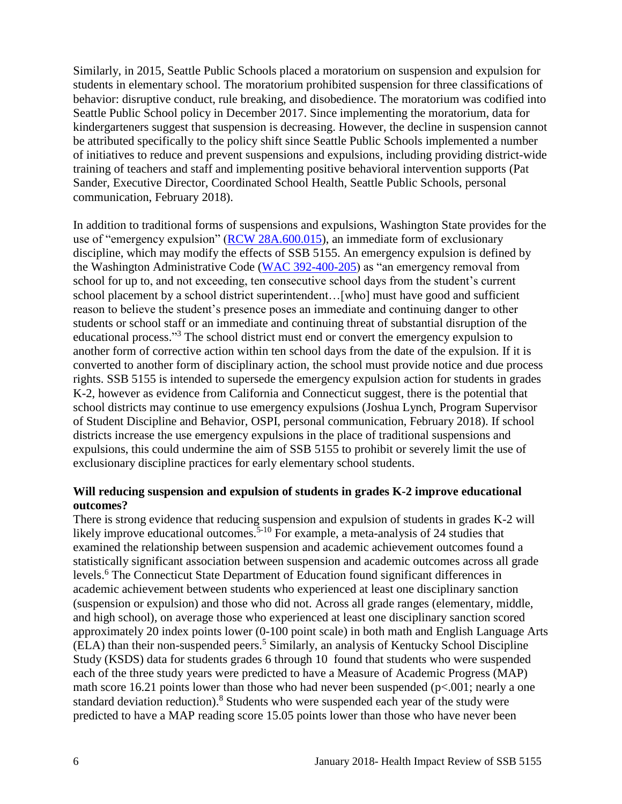Similarly, in 2015, Seattle Public Schools placed a moratorium on suspension and expulsion for students in elementary school. The moratorium prohibited suspension for three classifications of behavior: disruptive conduct, rule breaking, and disobedience. The moratorium was codified into Seattle Public School policy in December 2017. Since implementing the moratorium, data for kindergarteners suggest that suspension is decreasing. However, the decline in suspension cannot be attributed specifically to the policy shift since Seattle Public Schools implemented a number of initiatives to reduce and prevent suspensions and expulsions, including providing district-wide training of teachers and staff and implementing positive behavioral intervention supports (Pat Sander, Executive Director, Coordinated School Health, Seattle Public Schools, personal communication, February 2018).

In addition to traditional forms of suspensions and expulsions, Washington State provides for the use of "emergency expulsion" [\(RCW 28A.600.015\)](http://app.leg.wa.gov/rcw/default.aspx?cite=28A.600.015), an immediate form of exclusionary discipline, which may modify the effects of SSB 5155. An emergency expulsion is defined by the Washington Administrative Code [\(WAC 392-400-205\)](http://apps.leg.wa.gov/WAC/default.aspx?cite=392-400-205) as "an emergency removal from school for up to, and not exceeding, ten consecutive school days from the student's current school placement by a school district superintendent…[who] must have good and sufficient reason to believe the student's presence poses an immediate and continuing danger to other students or school staff or an immediate and continuing threat of substantial disruption of the educational process."<sup>3</sup> The school district must end or convert the emergency expulsion to another form of corrective action within ten school days from the date of the expulsion. If it is converted to another form of disciplinary action, the school must provide notice and due process rights. SSB 5155 is intended to supersede the emergency expulsion action for students in grades K-2, however as evidence from California and Connecticut suggest, there is the potential that school districts may continue to use emergency expulsions (Joshua Lynch, Program Supervisor of Student Discipline and Behavior, OSPI, personal communication, February 2018). If school districts increase the use emergency expulsions in the place of traditional suspensions and expulsions, this could undermine the aim of SSB 5155 to prohibit or severely limit the use of exclusionary discipline practices for early elementary school students.

#### **Will reducing suspension and expulsion of students in grades K-2 improve educational outcomes?**

There is strong evidence that reducing suspension and expulsion of students in grades K-2 will likely improve educational outcomes.<sup>5-10</sup> For example, a meta-analysis of 24 studies that examined the relationship between suspension and academic achievement outcomes found a statistically significant association between suspension and academic outcomes across all grade levels.<sup>6</sup> The Connecticut State Department of Education found significant differences in academic achievement between students who experienced at least one disciplinary sanction (suspension or expulsion) and those who did not. Across all grade ranges (elementary, middle, and high school), on average those who experienced at least one disciplinary sanction scored approximately 20 index points lower (0-100 point scale) in both math and English Language Arts (ELA) than their non-suspended peers.<sup>5</sup> Similarly, an analysis of Kentucky School Discipline Study (KSDS) data for students grades 6 through 10 found that students who were suspended each of the three study years were predicted to have a Measure of Academic Progress (MAP) math score 16.21 points lower than those who had never been suspended ( $p<.001$ ; nearly a one standard deviation reduction).<sup>8</sup> Students who were suspended each year of the study were predicted to have a MAP reading score 15.05 points lower than those who have never been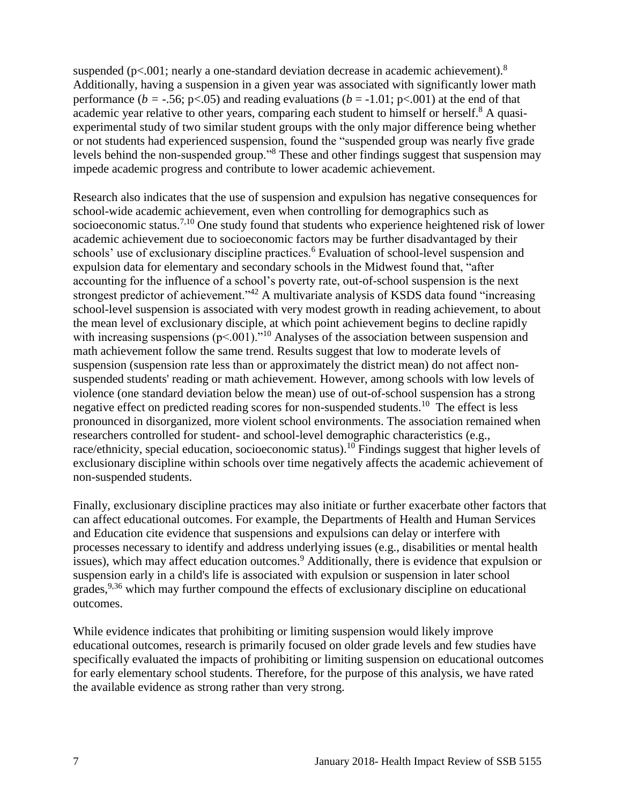suspended ( $p<.001$ ; nearly a one-standard deviation decrease in academic achievement).<sup>8</sup> Additionally, having a suspension in a given year was associated with significantly lower math performance ( $b = -0.56$ ; p<.05) and reading evaluations ( $b = -1.01$ ; p<.001) at the end of that academic year relative to other years, comparing each student to himself or herself.<sup>8</sup> A quasiexperimental study of two similar student groups with the only major difference being whether or not students had experienced suspension, found the "suspended group was nearly five grade levels behind the non-suspended group."<sup>8</sup> These and other findings suggest that suspension may impede academic progress and contribute to lower academic achievement.

Research also indicates that the use of suspension and expulsion has negative consequences for school-wide academic achievement, even when controlling for demographics such as socioeconomic status.[7,](#page-16-0)[10](#page-18-0) One study found that students who experience heightened risk of lower academic achievement due to socioeconomic factors may be further disadvantaged by their schools' use of exclusionary discipline practices.<sup>6</sup> Evaluation of school-level suspension and expulsion data for elementary and secondary schools in the Midwest found that, "after accounting for the influence of a school's poverty rate, out-of-school suspension is the next strongest predictor of achievement."<sup>42</sup> A multivariate analysis of KSDS data found "increasing school-level suspension is associated with very modest growth in reading achievement, to about the mean level of exclusionary disciple, at which point achievement begins to decline rapidly with increasing suspensions  $(p<.001)$ ."<sup>10</sup> Analyses of the association between suspension and math achievement follow the same trend. Results suggest that low to moderate levels of suspension (suspension rate less than or approximately the district mean) do not affect nonsuspended students' reading or math achievement. However, among schools with low levels of violence (one standard deviation below the mean) use of out-of-school suspension has a strong negative effect on predicted reading scores for non-suspended students.<sup>10</sup> The effect is less pronounced in disorganized, more violent school environments. The association remained when researchers controlled for student- and school-level demographic characteristics (e.g., race/ethnicity, special education, socioeconomic status).<sup>10</sup> Findings suggest that higher levels of exclusionary discipline within schools over time negatively affects the academic achievement of non-suspended students.

Finally, exclusionary discipline practices may also initiate or further exacerbate other factors that can affect educational outcomes. For example, the Departments of Health and Human Services and Education cite evidence that suspensions and expulsions can delay or interfere with processes necessary to identify and address underlying issues (e.g., disabilities or mental health issues), which may affect education outcomes.<sup>9</sup> Additionally, there is evidence that expulsion or suspension early in a child's life is associated with expulsion or suspension in later school grades,<sup>[9,](#page-17-0)[36](#page-24-0)</sup> which may further compound the effects of exclusionary discipline on educational outcomes.

While evidence indicates that prohibiting or limiting suspension would likely improve educational outcomes, research is primarily focused on older grade levels and few studies have specifically evaluated the impacts of prohibiting or limiting suspension on educational outcomes for early elementary school students. Therefore, for the purpose of this analysis, we have rated the available evidence as strong rather than very strong.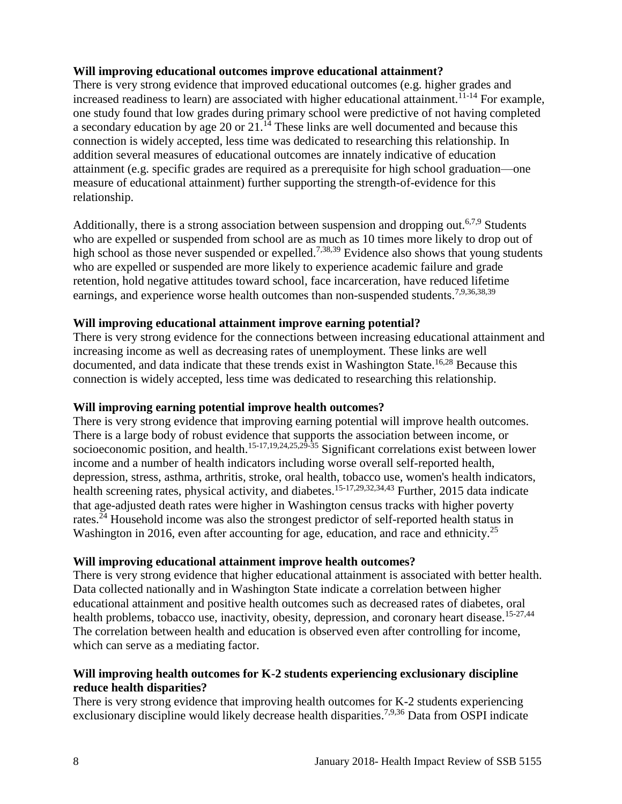#### **Will improving educational outcomes improve educational attainment?**

There is very strong evidence that improved educational outcomes (e.g. higher grades and increased readiness to learn) are associated with higher educational attainment.<sup>11-14</sup> For example, one study found that low grades during primary school were predictive of not having completed a secondary education by age 20 or 21.<sup>14</sup> These links are well documented and because this connection is widely accepted, less time was dedicated to researching this relationship. In addition several measures of educational outcomes are innately indicative of education attainment (e.g. specific grades are required as a prerequisite for high school graduation—one measure of educational attainment) further supporting the strength-of-evidence for this relationship.

Additionally, there is a strong association between suspension and dropping out.<sup>[6](#page-15-1)[,7](#page-16-0)[,9](#page-17-0)</sup> Students who are expelled or suspended from school are as much as 10 times more likely to drop out of high school as those never suspended or expelled.<sup>[7,](#page-16-0)[38,](#page-25-0)[39](#page-25-1)</sup> Evidence also shows that young students who are expelled or suspended are more likely to experience academic failure and grade retention, hold negative attitudes toward school, face incarceration, have reduced lifetime earnings, and experience worse health outcomes than non-suspended students.<sup>[7,](#page-16-0)[9,](#page-17-0)[36,](#page-24-0)[38,](#page-25-0)[39](#page-25-1)</sup>

#### **Will improving educational attainment improve earning potential?**

There is very strong evidence for the connections between increasing educational attainment and increasing income as well as decreasing rates of unemployment. These links are well documented, and data indicate that these trends exist in Washington State.<sup>[16](#page-20-0)[,28](#page-22-0)</sup> Because this connection is widely accepted, less time was dedicated to researching this relationship.

#### **Will improving earning potential improve health outcomes?**

There is very strong evidence that improving earning potential will improve health outcomes. There is a large body of robust evidence that supports the association between income, or socioeconomic position, and health.<sup>[15-17](#page-19-1)[,19](#page-20-1)[,24](#page-21-0)[,25](#page-21-1)[,29-35](#page-22-1)</sup> Significant correlations exist between lower income and a number of health indicators including worse overall self-reported health, depression, stress, asthma, arthritis, stroke, oral health, tobacco use, women's health indicators, health screening rates, physical activity, and diabetes.<sup>[15-17](#page-19-1)[,29](#page-22-1)[,32](#page-23-0)[,34](#page-24-2)[,43](#page-27-0)</sup> Further, 2015 data indicate that age-adjusted death rates were higher in Washington census tracks with higher poverty rates.<sup> $24$ </sup> Household income was also the strongest predictor of self-reported health status in Washington in 2016, even after accounting for age, education, and race and ethnicity.<sup>25</sup>

#### **Will improving educational attainment improve health outcomes?**

There is very strong evidence that higher educational attainment is associated with better health. Data collected nationally and in Washington State indicate a correlation between higher educational attainment and positive health outcomes such as decreased rates of diabetes, oral health problems, tobacco use, inactivity, obesity, depression, and coronary heart disease.<sup>[15-27](#page-19-1)[,44](#page-27-1)</sup> The correlation between health and education is observed even after controlling for income, which can serve as a mediating factor.

### **Will improving health outcomes for K-2 students experiencing exclusionary discipline reduce health disparities?**

There is very strong evidence that improving health outcomes for K-2 students experiencing exclusionary discipline would likely decrease health disparities.<sup>[7](#page-16-0)[,9](#page-17-0)[,36](#page-24-0)</sup> Data from OSPI indicate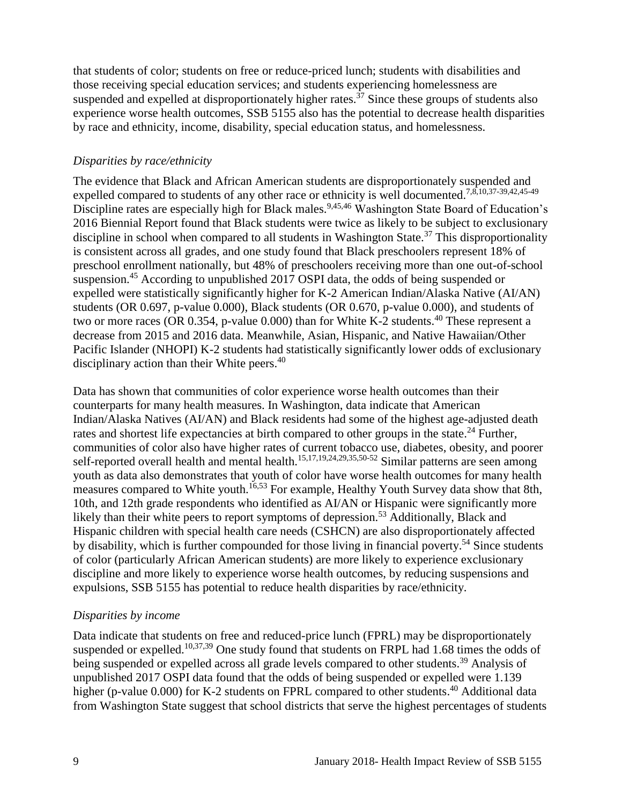that students of color; students on free or reduce-priced lunch; students with disabilities and those receiving special education services; and students experiencing homelessness are suspended and expelled at disproportionately higher rates.<sup> $37$ </sup> Since these groups of students also experience worse health outcomes, SSB 5155 also has the potential to decrease health disparities by race and ethnicity, income, disability, special education status, and homelessness.

### *Disparities by race/ethnicity*

The evidence that Black and African American students are disproportionately suspended and expelled compared to students of any other race or ethnicity is well documented.<sup>[7](#page-16-0)[,8](#page-16-1)[,10](#page-18-0)[,37-39,](#page-24-1)[42,](#page-26-0)[45-49](#page-27-2)</sup> Discipline rates are especially high for Black males.<sup>[9](#page-17-0)[,45](#page-27-2)[,46](#page-27-3)</sup> Washington State Board of Education's 2016 Biennial Report found that Black students were twice as likely to be subject to exclusionary discipline in school when compared to all students in Washington State.<sup>37</sup> This disproportionality is consistent across all grades, and one study found that Black preschoolers represent 18% of preschool enrollment nationally, but 48% of preschoolers receiving more than one out-of-school suspension.<sup>45</sup> According to unpublished 2017 OSPI data, the odds of being suspended or expelled were statistically significantly higher for K-2 American Indian/Alaska Native (AI/AN) students (OR 0.697, p-value 0.000), Black students (OR 0.670, p-value 0.000), and students of two or more races (OR  $0.354$ , p-value 0.000) than for White K-2 students.<sup>40</sup> These represent a decrease from 2015 and 2016 data. Meanwhile, Asian, Hispanic, and Native Hawaiian/Other Pacific Islander (NHOPI) K-2 students had statistically significantly lower odds of exclusionary disciplinary action than their White peers.<sup>40</sup>

Data has shown that communities of color experience worse health outcomes than their counterparts for many health measures. In Washington, data indicate that American Indian/Alaska Natives (AI/AN) and Black residents had some of the highest age-adjusted death rates and shortest life expectancies at birth compared to other groups in the state.<sup>24</sup> Further, communities of color also have higher rates of current tobacco use, diabetes, obesity, and poorer self-reported overall health and mental health.<sup>[15](#page-19-1)[,17](#page-20-2)[,19](#page-20-1)[,24](#page-21-0)[,29](#page-22-1)[,35](#page-24-3)[,50-52](#page-29-0)</sup> Similar patterns are seen among youth as data also demonstrates that youth of color have worse health outcomes for many health measures compared to White youth.<sup>[16](#page-20-0)[,53](#page-30-0)</sup> For example, Healthy Youth Survey data show that 8th, 10th, and 12th grade respondents who identified as AI/AN or Hispanic were significantly more likely than their white peers to report symptoms of depression.<sup>53</sup> Additionally, Black and Hispanic children with special health care needs (CSHCN) are also disproportionately affected by disability, which is further compounded for those living in financial poverty.<sup>54</sup> Since students of color (particularly African American students) are more likely to experience exclusionary discipline and more likely to experience worse health outcomes, by reducing suspensions and expulsions, SSB 5155 has potential to reduce health disparities by race/ethnicity.

### *Disparities by income*

Data indicate that students on free and reduced-price lunch (FPRL) may be disproportionately suspended or expelled.<sup>[10,](#page-18-0)[37,](#page-24-1)[39](#page-25-1)</sup> One study found that students on FRPL had 1.68 times the odds of being suspended or expelled across all grade levels compared to other students.<sup>39</sup> Analysis of unpublished 2017 OSPI data found that the odds of being suspended or expelled were 1.139 higher (p-value 0.000) for K-2 students on FPRL compared to other students.<sup>40</sup> Additional data from Washington State suggest that school districts that serve the highest percentages of students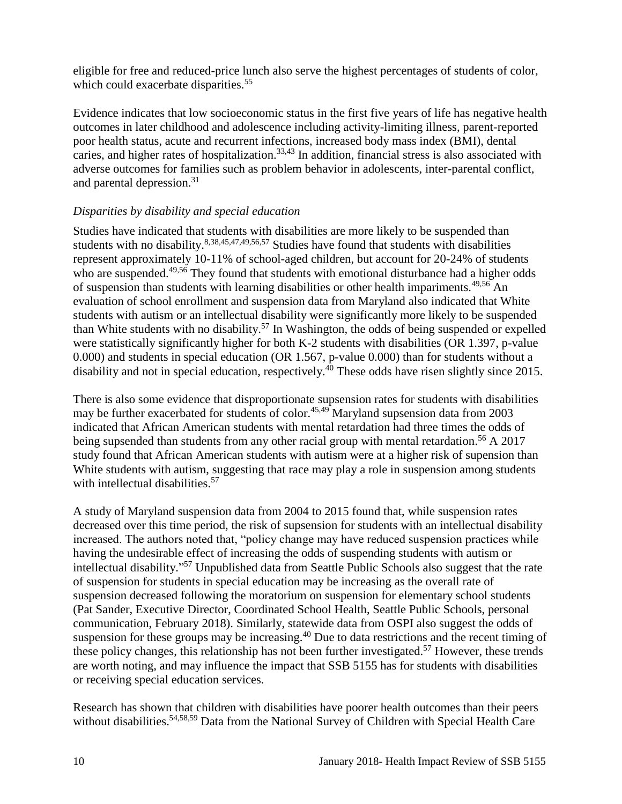eligible for free and reduced-price lunch also serve the highest percentages of students of color, which could exacerbate disparities.<sup>55</sup>

Evidence indicates that low socioeconomic status in the first five years of life has negative health outcomes in later childhood and adolescence including activity-limiting illness, parent-reported poor health status, acute and recurrent infections, increased body mass index (BMI), dental caries, and higher rates of hospitalization.<sup>[33,](#page-23-1)[43](#page-27-0)</sup> In addition, financial stress is also associated with adverse outcomes for families such as problem behavior in adolescents, inter-parental conflict, and parental depression.<sup>31</sup>

### *Disparities by disability and special education*

Studies have indicated that students with disabilities are more likely to be suspended than students with no disability.<sup>[8,](#page-16-1)[38,](#page-25-0)[45,](#page-27-2)[47,](#page-27-4)[49,](#page-28-0)[56,](#page-31-0)[57](#page-31-1)</sup> Studies have found that students with disabilities represent approximately 10-11% of school-aged children, but account for 20-24% of students who are suspended.<sup>[49,](#page-28-0)[56](#page-31-0)</sup> They found that students with emotional disturbance had a higher odds of suspension than students with learning disabilities or other health impariments.<sup>[49,](#page-28-0)[56](#page-31-0)</sup> An evaluation of school enrollment and suspension data from Maryland also indicated that White students with autism or an intellectual disability were significantly more likely to be suspended than White students with no disability.<sup>57</sup> In Washington, the odds of being suspended or expelled were statistically significantly higher for both K-2 students with disabilities (OR 1.397, p-value 0.000) and students in special education (OR 1.567, p-value 0.000) than for students without a disability and not in special education, respectively.<sup>40</sup> These odds have risen slightly since 2015.

There is also some evidence that disproportionate supsension rates for students with disabilities may be further exacerbated for students of color.<sup>[45,](#page-27-2)[49](#page-28-0)</sup> Maryland supsension data from 2003 indicated that African American students with mental retardation had three times the odds of being supsended than students from any other racial group with mental retardation.<sup>56</sup> A 2017 study found that African American students with autism were at a higher risk of supension than White students with autism, suggesting that race may play a role in suspension among students with intellectual disabilities.<sup>57</sup>

A study of Maryland suspension data from 2004 to 2015 found that, while suspension rates decreased over this time period, the risk of supsension for students with an intellectual disability increased. The authors noted that, "policy change may have reduced suspension practices while having the undesirable effect of increasing the odds of suspending students with autism or intellectual disability." <sup>57</sup> Unpublished data from Seattle Public Schools also suggest that the rate of suspension for students in special education may be increasing as the overall rate of suspension decreased following the moratorium on suspension for elementary school students (Pat Sander, Executive Director, Coordinated School Health, Seattle Public Schools, personal communication, February 2018). Similarly, statewide data from OSPI also suggest the odds of suspension for these groups may be increasing.<sup>40</sup> Due to data restrictions and the recent timing of these policy changes, this relationship has not been further investigated.<sup>57</sup> However, these trends are worth noting, and may influence the impact that SSB 5155 has for students with disabilities or receiving special education services.

Research has shown that children with disabilities have poorer health outcomes than their peers without disabilities.<sup>[54,](#page-30-1)[58,](#page-32-0)[59](#page-32-1)</sup> Data from the National Survey of Children with Special Health Care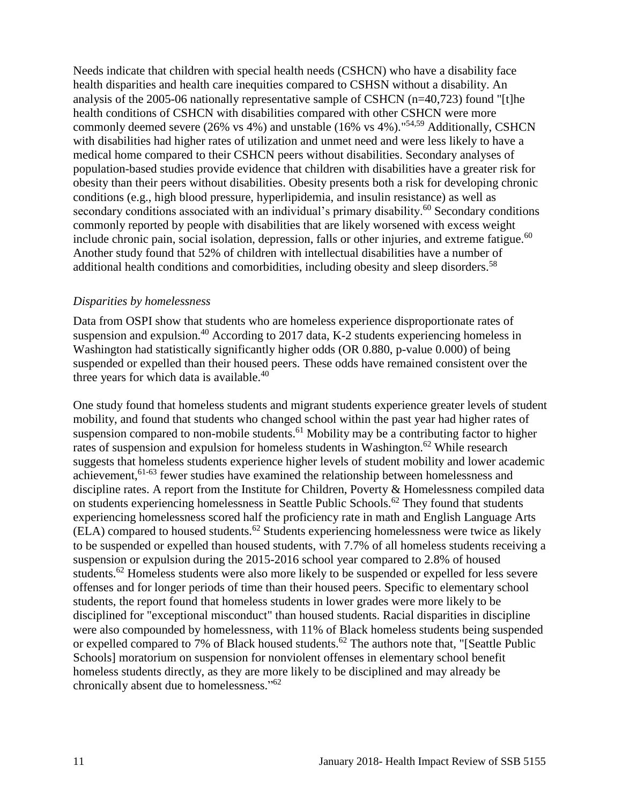Needs indicate that children with special health needs (CSHCN) who have a disability face health disparities and health care inequities compared to CSHSN without a disability. An analysis of the 2005-06 nationally representative sample of CSHCN (n=40,723) found "[t]he health conditions of CSHCN with disabilities compared with other CSHCN were more commonly deemed severe (26% vs 4%) and unstable (16% vs 4%). " $54,59$  $54,59$  Additionally, CSHCN with disabilities had higher rates of utilization and unmet need and were less likely to have a medical home compared to their CSHCN peers without disabilities. Secondary analyses of population-based studies provide evidence that children with disabilities have a greater risk for obesity than their peers without disabilities. Obesity presents both a risk for developing chronic conditions (e.g., high blood pressure, hyperlipidemia, and insulin resistance) as well as secondary conditions associated with an individual's primary disability.<sup>60</sup> Secondary conditions commonly reported by people with disabilities that are likely worsened with excess weight include chronic pain, social isolation, depression, falls or other injuries, and extreme fatigue.<sup>60</sup> Another study found that 52% of children with intellectual disabilities have a number of additional health conditions and comorbidities, including obesity and sleep disorders.<sup>58</sup>

#### *Disparities by homelessness*

Data from OSPI show that students who are homeless experience disproportionate rates of suspension and expulsion.<sup>40</sup> According to 2017 data, K-2 students experiencing homeless in Washington had statistically significantly higher odds (OR 0.880, p-value 0.000) of being suspended or expelled than their housed peers. These odds have remained consistent over the three years for which data is available. $40$ 

One study found that homeless students and migrant students experience greater levels of student mobility, and found that students who changed school within the past year had higher rates of suspension compared to non-mobile students.<sup>61</sup> Mobility may be a contributing factor to higher rates of suspension and expulsion for homeless students in Washington.<sup>62</sup> While research suggests that homeless students experience higher levels of student mobility and lower academic achievement,<sup>61-63</sup> fewer studies have examined the relationship between homelessness and discipline rates. A report from the Institute for Children, Poverty & Homelessness compiled data on students experiencing homelessness in Seattle Public Schools.<sup>62</sup> They found that students experiencing homelessness scored half the proficiency rate in math and English Language Arts  $(ELA)$  compared to housed students.<sup>62</sup> Students experiencing homelessness were twice as likely to be suspended or expelled than housed students, with 7.7% of all homeless students receiving a suspension or expulsion during the 2015-2016 school year compared to 2.8% of housed students.<sup>62</sup> Homeless students were also more likely to be suspended or expelled for less severe offenses and for longer periods of time than their housed peers. Specific to elementary school students, the report found that homeless students in lower grades were more likely to be disciplined for "exceptional misconduct" than housed students. Racial disparities in discipline were also compounded by homelessness, with 11% of Black homeless students being suspended or expelled compared to 7% of Black housed students.<sup>62</sup> The authors note that, "[Seattle Public Schools] moratorium on suspension for nonviolent offenses in elementary school benefit homeless students directly, as they are more likely to be disciplined and may already be chronically absent due to homelessness." 62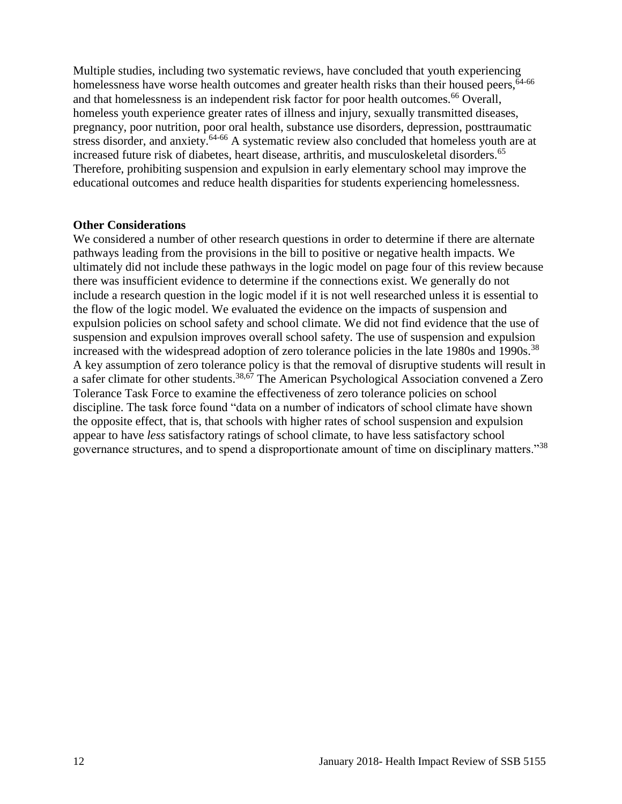Multiple studies, including two systematic reviews, have concluded that youth experiencing homelessness have worse health outcomes and greater health risks than their housed peers, <sup>64-66</sup> and that homelessness is an independent risk factor for poor health outcomes.<sup>66</sup> Overall, homeless youth experience greater rates of illness and injury, sexually transmitted diseases, pregnancy, poor nutrition, poor oral health, substance use disorders, depression, posttraumatic stress disorder, and anxiety.<sup>64-66</sup> A systematic review also concluded that homeless youth are at increased future risk of diabetes, heart disease, arthritis, and musculoskeletal disorders.<sup>65</sup> Therefore, prohibiting suspension and expulsion in early elementary school may improve the educational outcomes and reduce health disparities for students experiencing homelessness.

#### **Other Considerations**

<span id="page-13-0"></span>We considered a number of other research questions in order to determine if there are alternate pathways leading from the provisions in the bill to positive or negative health impacts. We ultimately did not include these pathways in the logic model on page four of this review because there was insufficient evidence to determine if the connections exist. We generally do not include a research question in the logic model if it is not well researched unless it is essential to the flow of the logic model. We evaluated the evidence on the impacts of suspension and expulsion policies on school safety and school climate. We did not find evidence that the use of suspension and expulsion improves overall school safety. The use of suspension and expulsion increased with the widespread adoption of zero tolerance policies in the late 1980s and 1990s.<sup>38</sup> A key assumption of zero tolerance policy is that the removal of disruptive students will result in a safer climate for other students.[38](#page-25-0)[,67](#page-36-0) The American Psychological Association convened a Zero Tolerance Task Force to examine the effectiveness of zero tolerance policies on school discipline. The task force found "data on a number of indicators of school climate have shown the opposite effect, that is, that schools with higher rates of school suspension and expulsion appear to have *less* satisfactory ratings of school climate, to have less satisfactory school governance structures, and to spend a disproportionate amount of time on disciplinary matters."<sup>38</sup>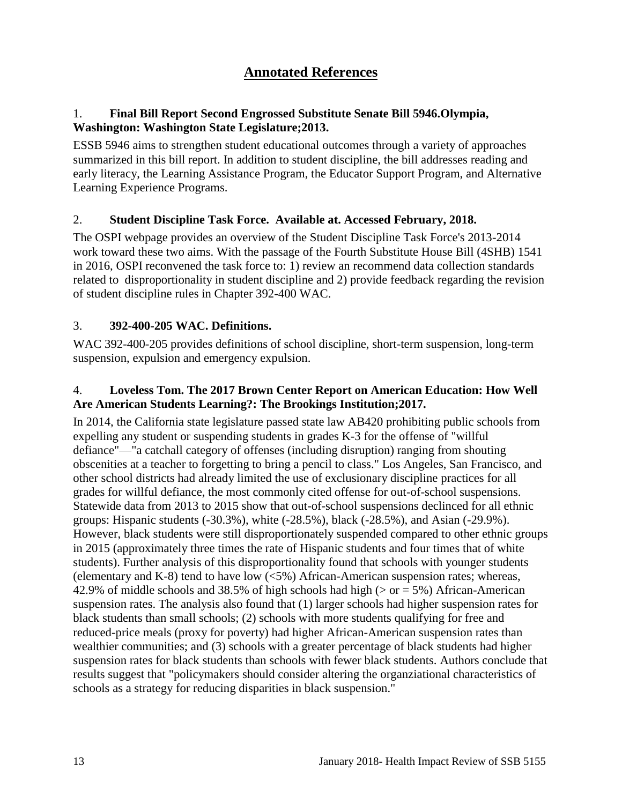# **Annotated References**

### <span id="page-14-0"></span>1. **Final Bill Report Second Engrossed Substitute Senate Bill 5946.Olympia, Washington: Washington State Legislature;2013.**

ESSB 5946 aims to strengthen student educational outcomes through a variety of approaches summarized in this bill report. In addition to student discipline, the bill addresses reading and early literacy, the Learning Assistance Program, the Educator Support Program, and Alternative Learning Experience Programs.

### <span id="page-14-1"></span>2. **Student Discipline Task Force. Available at. Accessed February, 2018.**

The OSPI webpage provides an overview of the Student Discipline Task Force's 2013-2014 work toward these two aims. With the passage of the Fourth Substitute House Bill (4SHB) 1541 in 2016, OSPI reconvened the task force to: 1) review an recommend data collection standards related to disproportionality in student discipline and 2) provide feedback regarding the revision of student discipline rules in Chapter 392-400 WAC.

#### 3. **392-400-205 WAC. Definitions.**

WAC 392-400-205 provides definitions of school discipline, short-term suspension, long-term suspension, expulsion and emergency expulsion.

### <span id="page-14-2"></span>4. **Loveless Tom. The 2017 Brown Center Report on American Education: How Well Are American Students Learning?: The Brookings Institution;2017.**

In 2014, the California state legislature passed state law AB420 prohibiting public schools from expelling any student or suspending students in grades K-3 for the offense of "willful defiance"—"a catchall category of offenses (including disruption) ranging from shouting obscenities at a teacher to forgetting to bring a pencil to class." Los Angeles, San Francisco, and other school districts had already limited the use of exclusionary discipline practices for all grades for willful defiance, the most commonly cited offense for out-of-school suspensions. Statewide data from 2013 to 2015 show that out-of-school suspensions declinced for all ethnic groups: Hispanic students (-30.3%), white (-28.5%), black (-28.5%), and Asian (-29.9%). However, black students were still disproportionately suspended compared to other ethnic groups in 2015 (approximately three times the rate of Hispanic students and four times that of white students). Further analysis of this disproportionality found that schools with younger students (elementary and K-8) tend to have low (<5%) African-American suspension rates; whereas, 42.9% of middle schools and 38.5% of high schools had high ( $>$  or = 5%) African-American suspension rates. The analysis also found that (1) larger schools had higher suspension rates for black students than small schools; (2) schools with more students qualifying for free and reduced-price meals (proxy for poverty) had higher African-American suspension rates than wealthier communities; and (3) schools with a greater percentage of black students had higher suspension rates for black students than schools with fewer black students. Authors conclude that results suggest that "policymakers should consider altering the organziational characteristics of schools as a strategy for reducing disparities in black suspension."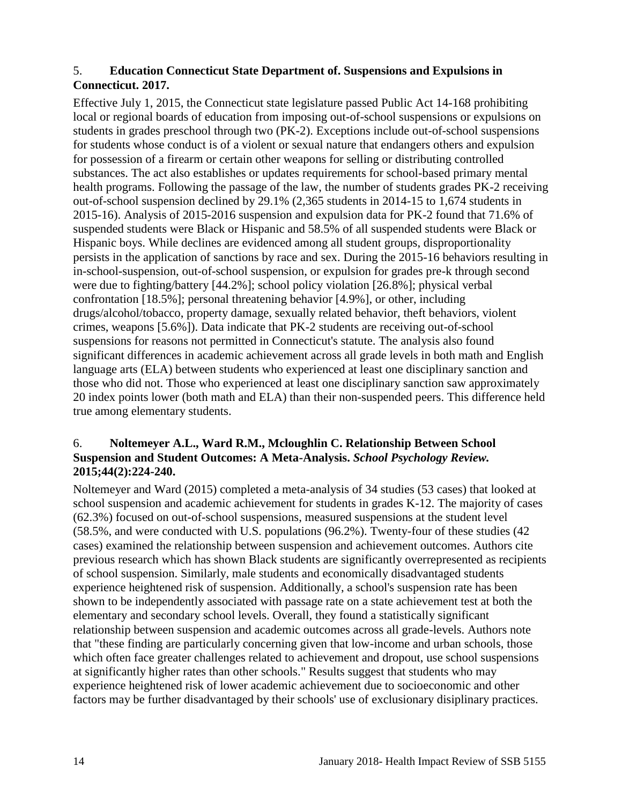### <span id="page-15-0"></span>5. **Education Connecticut State Department of. Suspensions and Expulsions in Connecticut. 2017.**

Effective July 1, 2015, the Connecticut state legislature passed Public Act 14-168 prohibiting local or regional boards of education from imposing out-of-school suspensions or expulsions on students in grades preschool through two (PK-2). Exceptions include out-of-school suspensions for students whose conduct is of a violent or sexual nature that endangers others and expulsion for possession of a firearm or certain other weapons for selling or distributing controlled substances. The act also establishes or updates requirements for school-based primary mental health programs. Following the passage of the law, the number of students grades PK-2 receiving out-of-school suspension declined by 29.1% (2,365 students in 2014-15 to 1,674 students in 2015-16). Analysis of 2015-2016 suspension and expulsion data for PK-2 found that 71.6% of suspended students were Black or Hispanic and 58.5% of all suspended students were Black or Hispanic boys. While declines are evidenced among all student groups, disproportionality persists in the application of sanctions by race and sex. During the 2015-16 behaviors resulting in in-school-suspension, out-of-school suspension, or expulsion for grades pre-k through second were due to fighting/battery [44.2%]; school policy violation [26.8%]; physical verbal confrontation [18.5%]; personal threatening behavior [4.9%], or other, including drugs/alcohol/tobacco, property damage, sexually related behavior, theft behaviors, violent crimes, weapons [5.6%]). Data indicate that PK-2 students are receiving out-of-school suspensions for reasons not permitted in Connecticut's statute. The analysis also found significant differences in academic achievement across all grade levels in both math and English language arts (ELA) between students who experienced at least one disciplinary sanction and those who did not. Those who experienced at least one disciplinary sanction saw approximately 20 index points lower (both math and ELA) than their non-suspended peers. This difference held true among elementary students.

### <span id="page-15-1"></span>6. **Noltemeyer A.L., Ward R.M., Mcloughlin C. Relationship Between School Suspension and Student Outcomes: A Meta-Analysis.** *School Psychology Review.*  **2015;44(2):224-240.**

Noltemeyer and Ward (2015) completed a meta-analysis of 34 studies (53 cases) that looked at school suspension and academic achievement for students in grades K-12. The majority of cases (62.3%) focused on out-of-school suspensions, measured suspensions at the student level (58.5%, and were conducted with U.S. populations (96.2%). Twenty-four of these studies (42 cases) examined the relationship between suspension and achievement outcomes. Authors cite previous research which has shown Black students are significantly overrepresented as recipients of school suspension. Similarly, male students and economically disadvantaged students experience heightened risk of suspension. Additionally, a school's suspension rate has been shown to be independently associated with passage rate on a state achievement test at both the elementary and secondary school levels. Overall, they found a statistically significant relationship between suspension and academic outcomes across all grade-levels. Authors note that "these finding are particularly concerning given that low-income and urban schools, those which often face greater challenges related to achievement and dropout, use school suspensions at significantly higher rates than other schools." Results suggest that students who may experience heightened risk of lower academic achievement due to socioeconomic and other factors may be further disadvantaged by their schools' use of exclusionary disiplinary practices.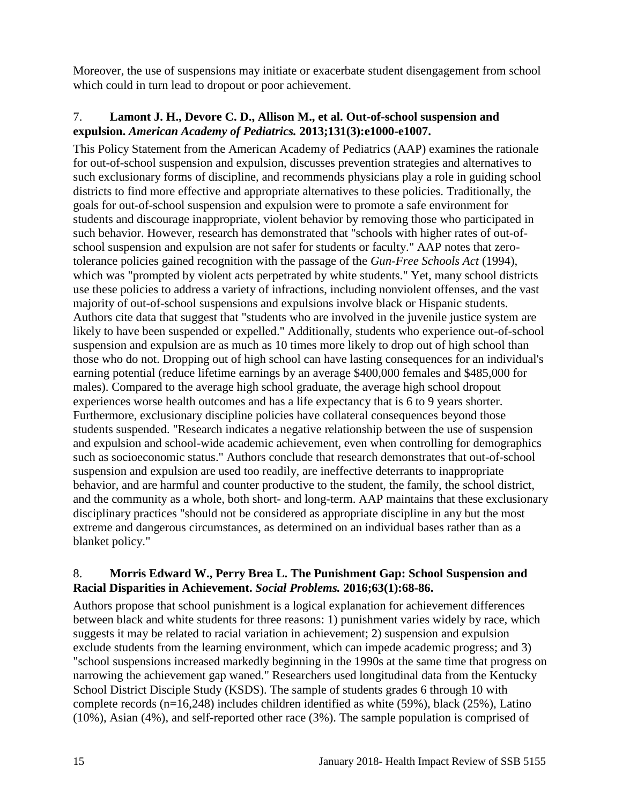Moreover, the use of suspensions may initiate or exacerbate student disengagement from school which could in turn lead to dropout or poor achievement.

### <span id="page-16-0"></span>7. **Lamont J. H., Devore C. D., Allison M., et al. Out-of-school suspension and expulsion.** *American Academy of Pediatrics.* **2013;131(3):e1000-e1007.**

This Policy Statement from the American Academy of Pediatrics (AAP) examines the rationale for out-of-school suspension and expulsion, discusses prevention strategies and alternatives to such exclusionary forms of discipline, and recommends physicians play a role in guiding school districts to find more effective and appropriate alternatives to these policies. Traditionally, the goals for out-of-school suspension and expulsion were to promote a safe environment for students and discourage inappropriate, violent behavior by removing those who participated in such behavior. However, research has demonstrated that "schools with higher rates of out-ofschool suspension and expulsion are not safer for students or faculty." AAP notes that zerotolerance policies gained recognition with the passage of the *Gun-Free Schools Act* (1994), which was "prompted by violent acts perpetrated by white students." Yet, many school districts use these policies to address a variety of infractions, including nonviolent offenses, and the vast majority of out-of-school suspensions and expulsions involve black or Hispanic students. Authors cite data that suggest that "students who are involved in the juvenile justice system are likely to have been suspended or expelled." Additionally, students who experience out-of-school suspension and expulsion are as much as 10 times more likely to drop out of high school than those who do not. Dropping out of high school can have lasting consequences for an individual's earning potential (reduce lifetime earnings by an average \$400,000 females and \$485,000 for males). Compared to the average high school graduate, the average high school dropout experiences worse health outcomes and has a life expectancy that is 6 to 9 years shorter. Furthermore, exclusionary discipline policies have collateral consequences beyond those students suspended. "Research indicates a negative relationship between the use of suspension and expulsion and school-wide academic achievement, even when controlling for demographics such as socioeconomic status." Authors conclude that research demonstrates that out-of-school suspension and expulsion are used too readily, are ineffective deterrants to inappropriate behavior, and are harmful and counter productive to the student, the family, the school district, and the community as a whole, both short- and long-term. AAP maintains that these exclusionary disciplinary practices "should not be considered as appropriate discipline in any but the most extreme and dangerous circumstances, as determined on an individual bases rather than as a blanket policy."

### <span id="page-16-1"></span>8. **Morris Edward W., Perry Brea L. The Punishment Gap: School Suspension and Racial Disparities in Achievement.** *Social Problems.* **2016;63(1):68-86.**

Authors propose that school punishment is a logical explanation for achievement differences between black and white students for three reasons: 1) punishment varies widely by race, which suggests it may be related to racial variation in achievement; 2) suspension and expulsion exclude students from the learning environment, which can impede academic progress; and 3) "school suspensions increased markedly beginning in the 1990s at the same time that progress on narrowing the achievement gap waned." Researchers used longitudinal data from the Kentucky School District Disciple Study (KSDS). The sample of students grades 6 through 10 with complete records (n=16,248) includes children identified as white (59%), black (25%), Latino (10%), Asian (4%), and self-reported other race (3%). The sample population is comprised of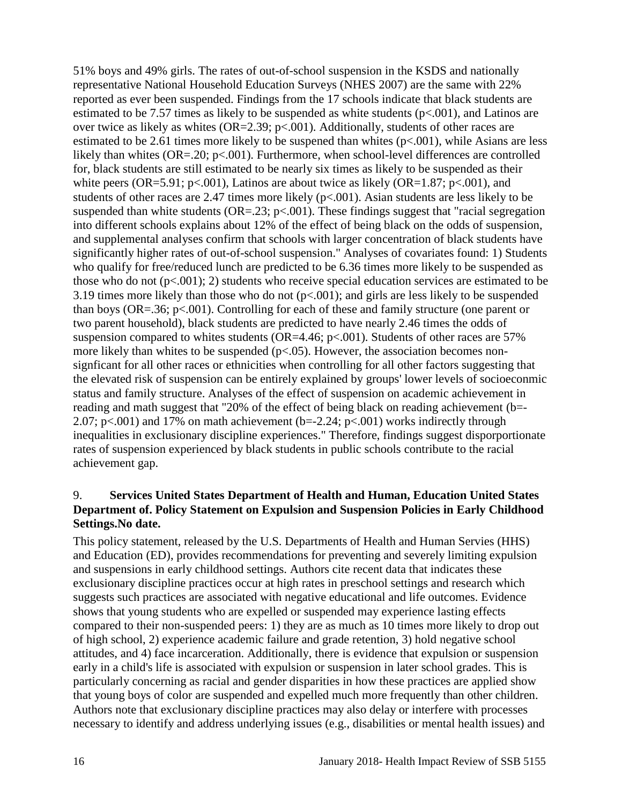51% boys and 49% girls. The rates of out-of-school suspension in the KSDS and nationally representative National Household Education Surveys (NHES 2007) are the same with 22% reported as ever been suspended. Findings from the 17 schools indicate that black students are estimated to be 7.57 times as likely to be suspended as white students  $(p<.001)$ , and Latinos are over twice as likely as whites (OR=2.39;  $p<.001$ ). Additionally, students of other races are estimated to be 2.61 times more likely to be suspened than whites  $(p<.001)$ , while Asians are less likely than whites (OR=.20; p<.001). Furthermore, when school-level differences are controlled for, black students are still estimated to be nearly six times as likely to be suspended as their white peers (OR=5.91; p<.001), Latinos are about twice as likely (OR=1.87; p<.001), and students of other races are 2.47 times more likely  $(p<.001)$ . Asian students are less likely to be suspended than white students ( $OR = .23$ ;  $p < .001$ ). These findings suggest that "racial segregation" into different schools explains about 12% of the effect of being black on the odds of suspension, and supplemental analyses confirm that schools with larger concentration of black students have significantly higher rates of out-of-school suspension." Analyses of covariates found: 1) Students who qualify for free/reduced lunch are predicted to be 6.36 times more likely to be suspended as those who do not  $(p<.001)$ ; 2) students who receive special education services are estimated to be 3.19 times more likely than those who do not  $(p<.001)$ ; and girls are less likely to be suspended than boys (OR=.36; p<.001). Controlling for each of these and family structure (one parent or two parent household), black students are predicted to have nearly 2.46 times the odds of suspension compared to whites students (OR=4.46;  $p<.001$ ). Students of other races are 57% more likely than whites to be suspended ( $p<0.05$ ). However, the association becomes nonsignficant for all other races or ethnicities when controlling for all other factors suggesting that the elevated risk of suspension can be entirely explained by groups' lower levels of socioeconmic status and family structure. Analyses of the effect of suspension on academic achievement in reading and math suggest that "20% of the effect of being black on reading achievement (b=- 2.07; p $\lt$ .001) and 17% on math achievement (b=-2.24; p $\lt$ .001) works indirectly through inequalities in exclusionary discipline experiences." Therefore, findings suggest disporportionate rates of suspension experienced by black students in public schools contribute to the racial achievement gap.

### <span id="page-17-0"></span>9. **Services United States Department of Health and Human, Education United States Department of. Policy Statement on Expulsion and Suspension Policies in Early Childhood Settings.No date.**

This policy statement, released by the U.S. Departments of Health and Human Servies (HHS) and Education (ED), provides recommendations for preventing and severely limiting expulsion and suspensions in early childhood settings. Authors cite recent data that indicates these exclusionary discipline practices occur at high rates in preschool settings and research which suggests such practices are associated with negative educational and life outcomes. Evidence shows that young students who are expelled or suspended may experience lasting effects compared to their non-suspended peers: 1) they are as much as 10 times more likely to drop out of high school, 2) experience academic failure and grade retention, 3) hold negative school attitudes, and 4) face incarceration. Additionally, there is evidence that expulsion or suspension early in a child's life is associated with expulsion or suspension in later school grades. This is particularly concerning as racial and gender disparities in how these practices are applied show that young boys of color are suspended and expelled much more frequently than other children. Authors note that exclusionary discipline practices may also delay or interfere with processes necessary to identify and address underlying issues (e.g., disabilities or mental health issues) and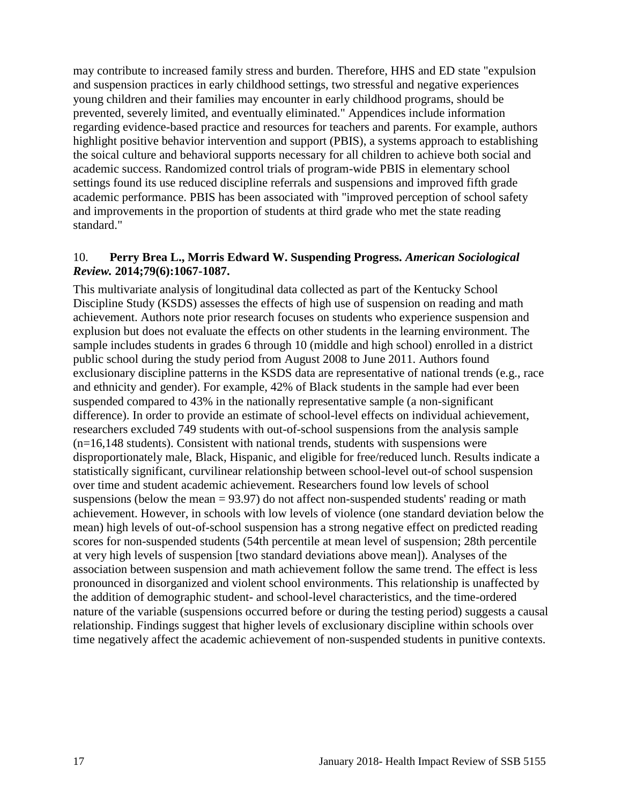may contribute to increased family stress and burden. Therefore, HHS and ED state "expulsion and suspension practices in early childhood settings, two stressful and negative experiences young children and their families may encounter in early childhood programs, should be prevented, severely limited, and eventually eliminated." Appendices include information regarding evidence-based practice and resources for teachers and parents. For example, authors highlight positive behavior intervention and support (PBIS), a systems approach to establishing the soical culture and behavioral supports necessary for all children to achieve both social and academic success. Randomized control trials of program-wide PBIS in elementary school settings found its use reduced discipline referrals and suspensions and improved fifth grade academic performance. PBIS has been associated with "improved perception of school safety and improvements in the proportion of students at third grade who met the state reading standard."

#### <span id="page-18-0"></span>10. **Perry Brea L., Morris Edward W. Suspending Progress.** *American Sociological Review.* **2014;79(6):1067-1087.**

This multivariate analysis of longitudinal data collected as part of the Kentucky School Discipline Study (KSDS) assesses the effects of high use of suspension on reading and math achievement. Authors note prior research focuses on students who experience suspension and explusion but does not evaluate the effects on other students in the learning environment. The sample includes students in grades 6 through 10 (middle and high school) enrolled in a district public school during the study period from August 2008 to June 2011. Authors found exclusionary discipline patterns in the KSDS data are representative of national trends (e.g., race and ethnicity and gender). For example, 42% of Black students in the sample had ever been suspended compared to 43% in the nationally representative sample (a non-significant difference). In order to provide an estimate of school-level effects on individual achievement, researchers excluded 749 students with out-of-school suspensions from the analysis sample (n=16,148 students). Consistent with national trends, students with suspensions were disproportionately male, Black, Hispanic, and eligible for free/reduced lunch. Results indicate a statistically significant, curvilinear relationship between school-level out-of school suspension over time and student academic achievement. Researchers found low levels of school suspensions (below the mean = 93.97) do not affect non-suspended students' reading or math achievement. However, in schools with low levels of violence (one standard deviation below the mean) high levels of out-of-school suspension has a strong negative effect on predicted reading scores for non-suspended students (54th percentile at mean level of suspension; 28th percentile at very high levels of suspension [two standard deviations above mean]). Analyses of the association between suspension and math achievement follow the same trend. The effect is less pronounced in disorganized and violent school environments. This relationship is unaffected by the addition of demographic student- and school-level characteristics, and the time-ordered nature of the variable (suspensions occurred before or during the testing period) suggests a causal relationship. Findings suggest that higher levels of exclusionary discipline within schools over time negatively affect the academic achievement of non-suspended students in punitive contexts.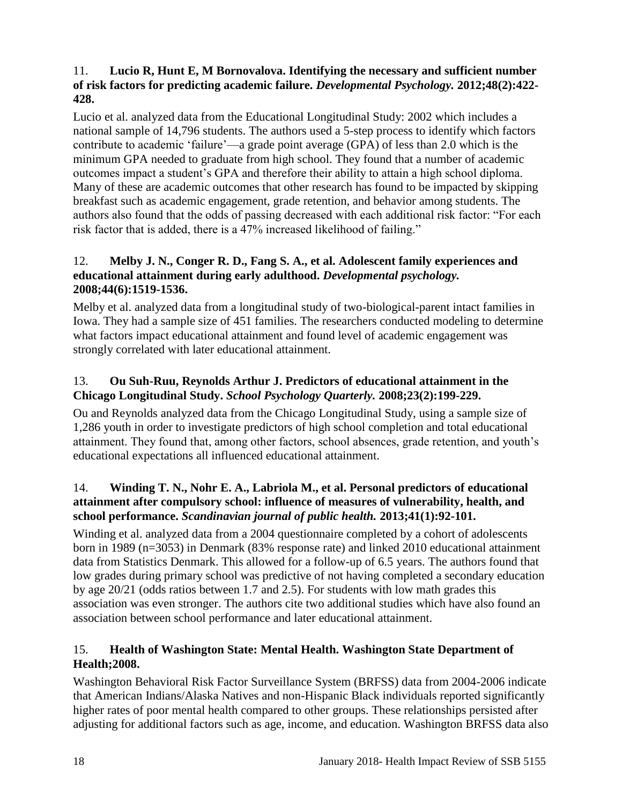### <span id="page-19-0"></span>11. **Lucio R, Hunt E, M Bornovalova. Identifying the necessary and sufficient number of risk factors for predicting academic failure.** *Developmental Psychology.* **2012;48(2):422- 428.**

Lucio et al. analyzed data from the Educational Longitudinal Study: 2002 which includes a national sample of 14,796 students. The authors used a 5-step process to identify which factors contribute to academic 'failure'—a grade point average (GPA) of less than 2.0 which is the minimum GPA needed to graduate from high school. They found that a number of academic outcomes impact a student's GPA and therefore their ability to attain a high school diploma. Many of these are academic outcomes that other research has found to be impacted by skipping breakfast such as academic engagement, grade retention, and behavior among students. The authors also found that the odds of passing decreased with each additional risk factor: "For each risk factor that is added, there is a 47% increased likelihood of failing."

### 12. **Melby J. N., Conger R. D., Fang S. A., et al. Adolescent family experiences and educational attainment during early adulthood.** *Developmental psychology.*  **2008;44(6):1519-1536.**

Melby et al. analyzed data from a longitudinal study of two-biological-parent intact families in Iowa. They had a sample size of 451 families. The researchers conducted modeling to determine what factors impact educational attainment and found level of academic engagement was strongly correlated with later educational attainment.

### 13. **Ou Suh-Ruu, Reynolds Arthur J. Predictors of educational attainment in the Chicago Longitudinal Study.** *School Psychology Quarterly.* **2008;23(2):199-229.**

Ou and Reynolds analyzed data from the Chicago Longitudinal Study, using a sample size of 1,286 youth in order to investigate predictors of high school completion and total educational attainment. They found that, among other factors, school absences, grade retention, and youth's educational expectations all influenced educational attainment.

### 14. **Winding T. N., Nohr E. A., Labriola M., et al. Personal predictors of educational attainment after compulsory school: influence of measures of vulnerability, health, and school performance.** *Scandinavian journal of public health.* **2013;41(1):92-101.**

Winding et al. analyzed data from a 2004 questionnaire completed by a cohort of adolescents born in 1989 (n=3053) in Denmark (83% response rate) and linked 2010 educational attainment data from Statistics Denmark. This allowed for a follow-up of 6.5 years. The authors found that low grades during primary school was predictive of not having completed a secondary education by age 20/21 (odds ratios between 1.7 and 2.5). For students with low math grades this association was even stronger. The authors cite two additional studies which have also found an association between school performance and later educational attainment.

### <span id="page-19-1"></span>15. **Health of Washington State: Mental Health. Washington State Department of Health;2008.**

Washington Behavioral Risk Factor Surveillance System (BRFSS) data from 2004-2006 indicate that American Indians/Alaska Natives and non-Hispanic Black individuals reported significantly higher rates of poor mental health compared to other groups. These relationships persisted after adjusting for additional factors such as age, income, and education. Washington BRFSS data also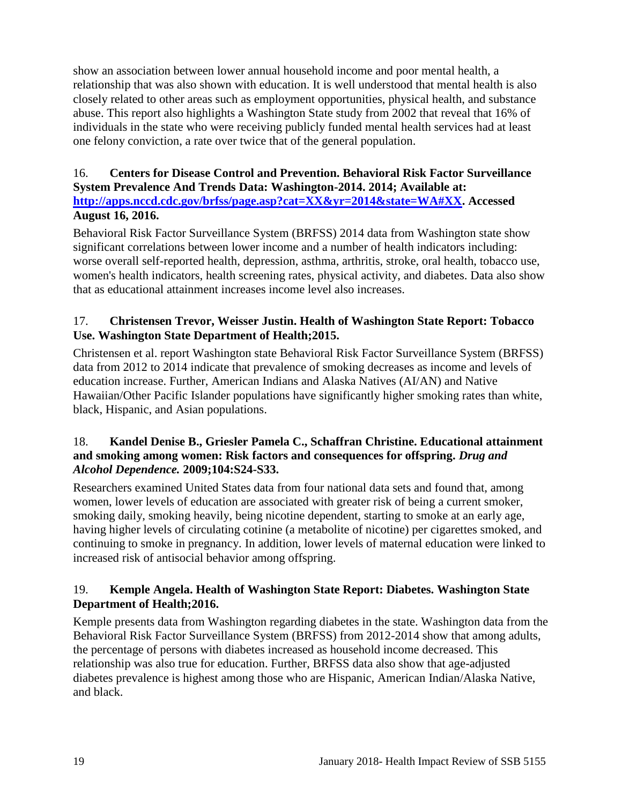show an association between lower annual household income and poor mental health, a relationship that was also shown with education. It is well understood that mental health is also closely related to other areas such as employment opportunities, physical health, and substance abuse. This report also highlights a Washington State study from 2002 that reveal that 16% of individuals in the state who were receiving publicly funded mental health services had at least one felony conviction, a rate over twice that of the general population.

### <span id="page-20-0"></span>16. **Centers for Disease Control and Prevention. Behavioral Risk Factor Surveillance System Prevalence And Trends Data: Washington-2014. 2014; Available at: [http://apps.nccd.cdc.gov/brfss/page.asp?cat=XX&yr=2014&state=WA#XX.](http://apps.nccd.cdc.gov/brfss/page.asp?cat=XX&yr=2014&state=WA#XX) Accessed August 16, 2016.**

Behavioral Risk Factor Surveillance System (BRFSS) 2014 data from Washington state show significant correlations between lower income and a number of health indicators including: worse overall self-reported health, depression, asthma, arthritis, stroke, oral health, tobacco use, women's health indicators, health screening rates, physical activity, and diabetes. Data also show that as educational attainment increases income level also increases.

### <span id="page-20-2"></span>17. **Christensen Trevor, Weisser Justin. Health of Washington State Report: Tobacco Use. Washington State Department of Health;2015.**

Christensen et al. report Washington state Behavioral Risk Factor Surveillance System (BRFSS) data from 2012 to 2014 indicate that prevalence of smoking decreases as income and levels of education increase. Further, American Indians and Alaska Natives (AI/AN) and Native Hawaiian/Other Pacific Islander populations have significantly higher smoking rates than white, black, Hispanic, and Asian populations.

### 18. **Kandel Denise B., Griesler Pamela C., Schaffran Christine. Educational attainment and smoking among women: Risk factors and consequences for offspring.** *Drug and Alcohol Dependence.* **2009;104:S24-S33.**

Researchers examined United States data from four national data sets and found that, among women, lower levels of education are associated with greater risk of being a current smoker, smoking daily, smoking heavily, being nicotine dependent, starting to smoke at an early age, having higher levels of circulating cotinine (a metabolite of nicotine) per cigarettes smoked, and continuing to smoke in pregnancy. In addition, lower levels of maternal education were linked to increased risk of antisocial behavior among offspring.

### <span id="page-20-1"></span>19. **Kemple Angela. Health of Washington State Report: Diabetes. Washington State Department of Health;2016.**

Kemple presents data from Washington regarding diabetes in the state. Washington data from the Behavioral Risk Factor Surveillance System (BRFSS) from 2012-2014 show that among adults, the percentage of persons with diabetes increased as household income decreased. This relationship was also true for education. Further, BRFSS data also show that age-adjusted diabetes prevalence is highest among those who are Hispanic, American Indian/Alaska Native, and black.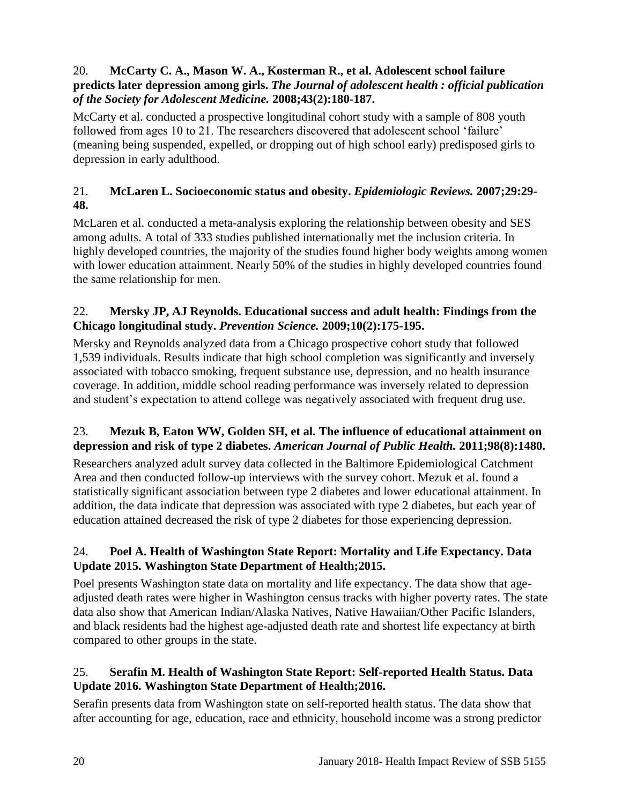### 20. **McCarty C. A., Mason W. A., Kosterman R., et al. Adolescent school failure predicts later depression among girls.** *The Journal of adolescent health : official publication of the Society for Adolescent Medicine.* **2008;43(2):180-187.**

McCarty et al. conducted a prospective longitudinal cohort study with a sample of 808 youth followed from ages 10 to 21. The researchers discovered that adolescent school 'failure' (meaning being suspended, expelled, or dropping out of high school early) predisposed girls to depression in early adulthood.

### 21. **McLaren L. Socioeconomic status and obesity.** *Epidemiologic Reviews.* **2007;29:29- 48.**

McLaren et al. conducted a meta-analysis exploring the relationship between obesity and SES among adults. A total of 333 studies published internationally met the inclusion criteria. In highly developed countries, the majority of the studies found higher body weights among women with lower education attainment. Nearly 50% of the studies in highly developed countries found the same relationship for men.

### 22. **Mersky JP, AJ Reynolds. Educational success and adult health: Findings from the Chicago longitudinal study.** *Prevention Science.* **2009;10(2):175-195.**

Mersky and Reynolds analyzed data from a Chicago prospective cohort study that followed 1,539 individuals. Results indicate that high school completion was significantly and inversely associated with tobacco smoking, frequent substance use, depression, and no health insurance coverage. In addition, middle school reading performance was inversely related to depression and student's expectation to attend college was negatively associated with frequent drug use.

### 23. **Mezuk B, Eaton WW, Golden SH, et al. The influence of educational attainment on depression and risk of type 2 diabetes.** *American Journal of Public Health.* **2011;98(8):1480.**

Researchers analyzed adult survey data collected in the Baltimore Epidemiological Catchment Area and then conducted follow-up interviews with the survey cohort. Mezuk et al. found a statistically significant association between type 2 diabetes and lower educational attainment. In addition, the data indicate that depression was associated with type 2 diabetes, but each year of education attained decreased the risk of type 2 diabetes for those experiencing depression.

### <span id="page-21-0"></span>24. **Poel A. Health of Washington State Report: Mortality and Life Expectancy. Data Update 2015. Washington State Department of Health;2015.**

Poel presents Washington state data on mortality and life expectancy. The data show that ageadjusted death rates were higher in Washington census tracks with higher poverty rates. The state data also show that American Indian/Alaska Natives, Native Hawaiian/Other Pacific Islanders, and black residents had the highest age-adjusted death rate and shortest life expectancy at birth compared to other groups in the state.

### <span id="page-21-1"></span>25. **Serafin M. Health of Washington State Report: Self-reported Health Status. Data Update 2016. Washington State Department of Health;2016.**

Serafin presents data from Washington state on self-reported health status. The data show that after accounting for age, education, race and ethnicity, household income was a strong predictor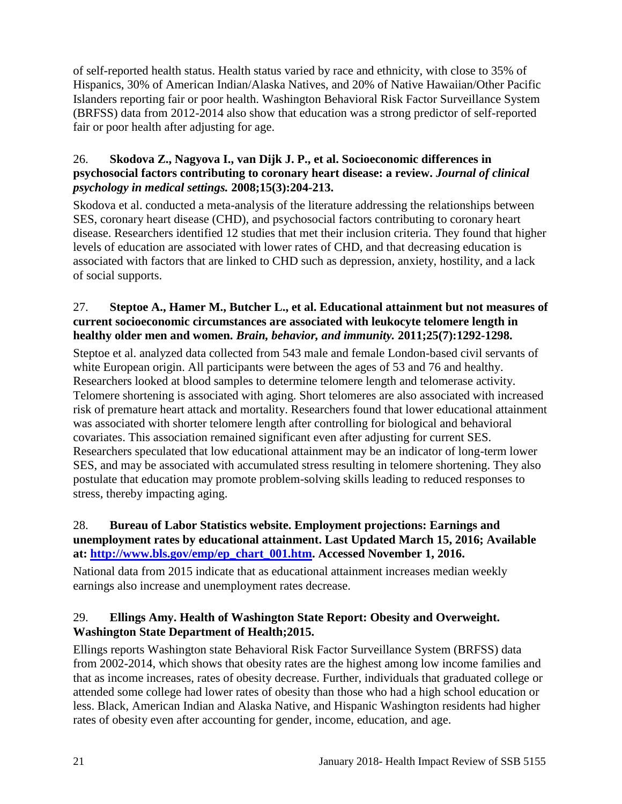of self-reported health status. Health status varied by race and ethnicity, with close to 35% of Hispanics, 30% of American Indian/Alaska Natives, and 20% of Native Hawaiian/Other Pacific Islanders reporting fair or poor health. Washington Behavioral Risk Factor Surveillance System (BRFSS) data from 2012-2014 also show that education was a strong predictor of self-reported fair or poor health after adjusting for age.

### 26. **Skodova Z., Nagyova I., van Dijk J. P., et al. Socioeconomic differences in psychosocial factors contributing to coronary heart disease: a review.** *Journal of clinical psychology in medical settings.* **2008;15(3):204-213.**

Skodova et al. conducted a meta-analysis of the literature addressing the relationships between SES, coronary heart disease (CHD), and psychosocial factors contributing to coronary heart disease. Researchers identified 12 studies that met their inclusion criteria. They found that higher levels of education are associated with lower rates of CHD, and that decreasing education is associated with factors that are linked to CHD such as depression, anxiety, hostility, and a lack of social supports.

### 27. **Steptoe A., Hamer M., Butcher L., et al. Educational attainment but not measures of current socioeconomic circumstances are associated with leukocyte telomere length in healthy older men and women.** *Brain, behavior, and immunity.* **2011;25(7):1292-1298.**

Steptoe et al. analyzed data collected from 543 male and female London-based civil servants of white European origin. All participants were between the ages of 53 and 76 and healthy. Researchers looked at blood samples to determine telomere length and telomerase activity. Telomere shortening is associated with aging. Short telomeres are also associated with increased risk of premature heart attack and mortality. Researchers found that lower educational attainment was associated with shorter telomere length after controlling for biological and behavioral covariates. This association remained significant even after adjusting for current SES. Researchers speculated that low educational attainment may be an indicator of long-term lower SES, and may be associated with accumulated stress resulting in telomere shortening. They also postulate that education may promote problem-solving skills leading to reduced responses to stress, thereby impacting aging.

### <span id="page-22-0"></span>28. **Bureau of Labor Statistics website. Employment projections: Earnings and unemployment rates by educational attainment. Last Updated March 15, 2016; Available at: [http://www.bls.gov/emp/ep\\_chart\\_001.htm.](http://www.bls.gov/emp/ep_chart_001.htm) Accessed November 1, 2016.**

National data from 2015 indicate that as educational attainment increases median weekly earnings also increase and unemployment rates decrease.

### <span id="page-22-1"></span>29. **Ellings Amy. Health of Washington State Report: Obesity and Overweight. Washington State Department of Health;2015.**

Ellings reports Washington state Behavioral Risk Factor Surveillance System (BRFSS) data from 2002-2014, which shows that obesity rates are the highest among low income families and that as income increases, rates of obesity decrease. Further, individuals that graduated college or attended some college had lower rates of obesity than those who had a high school education or less. Black, American Indian and Alaska Native, and Hispanic Washington residents had higher rates of obesity even after accounting for gender, income, education, and age.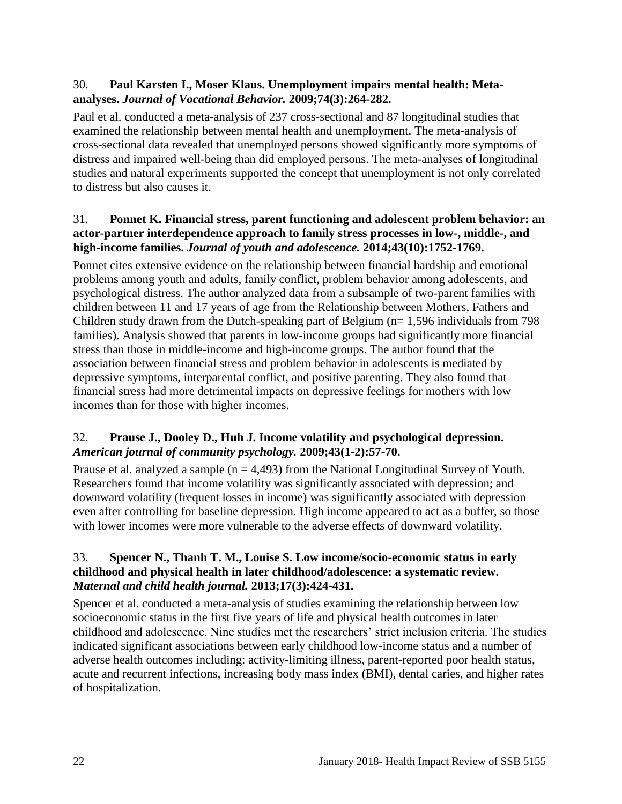### 30. **Paul Karsten I., Moser Klaus. Unemployment impairs mental health: Metaanalyses.** *Journal of Vocational Behavior.* **2009;74(3):264-282.**

Paul et al. conducted a meta-analysis of 237 cross-sectional and 87 longitudinal studies that examined the relationship between mental health and unemployment. The meta-analysis of cross-sectional data revealed that unemployed persons showed significantly more symptoms of distress and impaired well-being than did employed persons. The meta-analyses of longitudinal studies and natural experiments supported the concept that unemployment is not only correlated to distress but also causes it.

#### 31. **Ponnet K. Financial stress, parent functioning and adolescent problem behavior: an actor-partner interdependence approach to family stress processes in low-, middle-, and high-income families.** *Journal of youth and adolescence.* **2014;43(10):1752-1769.**

Ponnet cites extensive evidence on the relationship between financial hardship and emotional problems among youth and adults, family conflict, problem behavior among adolescents, and psychological distress. The author analyzed data from a subsample of two-parent families with children between 11 and 17 years of age from the Relationship between Mothers, Fathers and Children study drawn from the Dutch-speaking part of Belgium ( $n= 1,596$  individuals from 798 families). Analysis showed that parents in low-income groups had significantly more financial stress than those in middle-income and high-income groups. The author found that the association between financial stress and problem behavior in adolescents is mediated by depressive symptoms, interparental conflict, and positive parenting. They also found that financial stress had more detrimental impacts on depressive feelings for mothers with low incomes than for those with higher incomes.

### <span id="page-23-0"></span>32. **Prause J., Dooley D., Huh J. Income volatility and psychological depression.**  *American journal of community psychology.* **2009;43(1-2):57-70.**

Prause et al. analyzed a sample  $(n = 4,493)$  from the National Longitudinal Survey of Youth. Researchers found that income volatility was significantly associated with depression; and downward volatility (frequent losses in income) was significantly associated with depression even after controlling for baseline depression. High income appeared to act as a buffer, so those with lower incomes were more vulnerable to the adverse effects of downward volatility.

### <span id="page-23-1"></span>33. **Spencer N., Thanh T. M., Louise S. Low income/socio-economic status in early childhood and physical health in later childhood/adolescence: a systematic review.**  *Maternal and child health journal.* **2013;17(3):424-431.**

Spencer et al. conducted a meta-analysis of studies examining the relationship between low socioeconomic status in the first five years of life and physical health outcomes in later childhood and adolescence. Nine studies met the researchers' strict inclusion criteria. The studies indicated significant associations between early childhood low-income status and a number of adverse health outcomes including: activity-limiting illness, parent-reported poor health status, acute and recurrent infections, increasing body mass index (BMI), dental caries, and higher rates of hospitalization.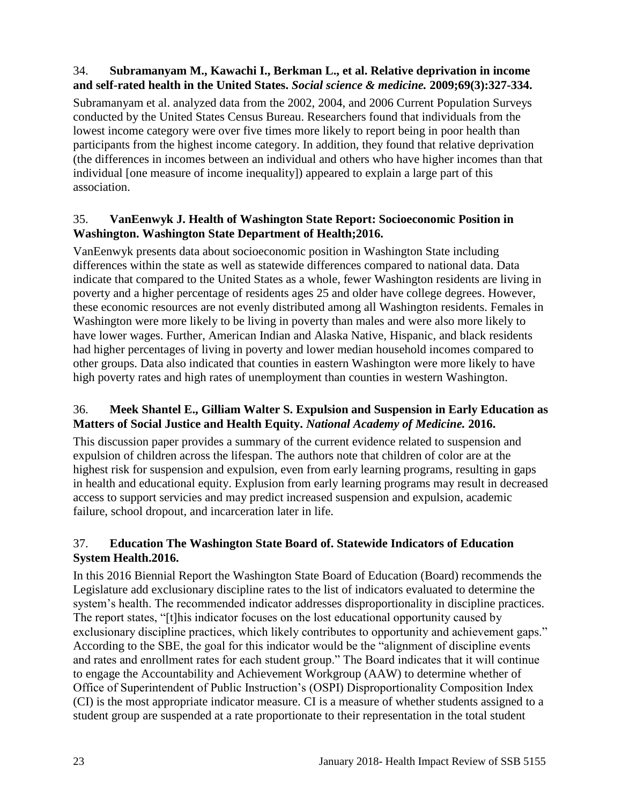### <span id="page-24-2"></span>34. **Subramanyam M., Kawachi I., Berkman L., et al. Relative deprivation in income and self-rated health in the United States.** *Social science & medicine.* **2009;69(3):327-334.**

Subramanyam et al. analyzed data from the 2002, 2004, and 2006 Current Population Surveys conducted by the United States Census Bureau. Researchers found that individuals from the lowest income category were over five times more likely to report being in poor health than participants from the highest income category. In addition, they found that relative deprivation (the differences in incomes between an individual and others who have higher incomes than that individual [one measure of income inequality]) appeared to explain a large part of this association.

### <span id="page-24-3"></span>35. **VanEenwyk J. Health of Washington State Report: Socioeconomic Position in Washington. Washington State Department of Health;2016.**

VanEenwyk presents data about socioeconomic position in Washington State including differences within the state as well as statewide differences compared to national data. Data indicate that compared to the United States as a whole, fewer Washington residents are living in poverty and a higher percentage of residents ages 25 and older have college degrees. However, these economic resources are not evenly distributed among all Washington residents. Females in Washington were more likely to be living in poverty than males and were also more likely to have lower wages. Further, American Indian and Alaska Native, Hispanic, and black residents had higher percentages of living in poverty and lower median household incomes compared to other groups. Data also indicated that counties in eastern Washington were more likely to have high poverty rates and high rates of unemployment than counties in western Washington.

### <span id="page-24-0"></span>36. **Meek Shantel E., Gilliam Walter S. Expulsion and Suspension in Early Education as Matters of Social Justice and Health Equity.** *National Academy of Medicine.* **2016.**

This discussion paper provides a summary of the current evidence related to suspension and expulsion of children across the lifespan. The authors note that children of color are at the highest risk for suspension and expulsion, even from early learning programs, resulting in gaps in health and educational equity. Explusion from early learning programs may result in decreased access to support servicies and may predict increased suspension and expulsion, academic failure, school dropout, and incarceration later in life.

### <span id="page-24-1"></span>37. **Education The Washington State Board of. Statewide Indicators of Education System Health.2016.**

In this 2016 Biennial Report the Washington State Board of Education (Board) recommends the Legislature add exclusionary discipline rates to the list of indicators evaluated to determine the system's health. The recommended indicator addresses disproportionality in discipline practices. The report states, "[t]his indicator focuses on the lost educational opportunity caused by exclusionary discipline practices, which likely contributes to opportunity and achievement gaps." According to the SBE, the goal for this indicator would be the "alignment of discipline events and rates and enrollment rates for each student group." The Board indicates that it will continue to engage the Accountability and Achievement Workgroup (AAW) to determine whether of Office of Superintendent of Public Instruction's (OSPI) Disproportionality Composition Index (CI) is the most appropriate indicator measure. CI is a measure of whether students assigned to a student group are suspended at a rate proportionate to their representation in the total student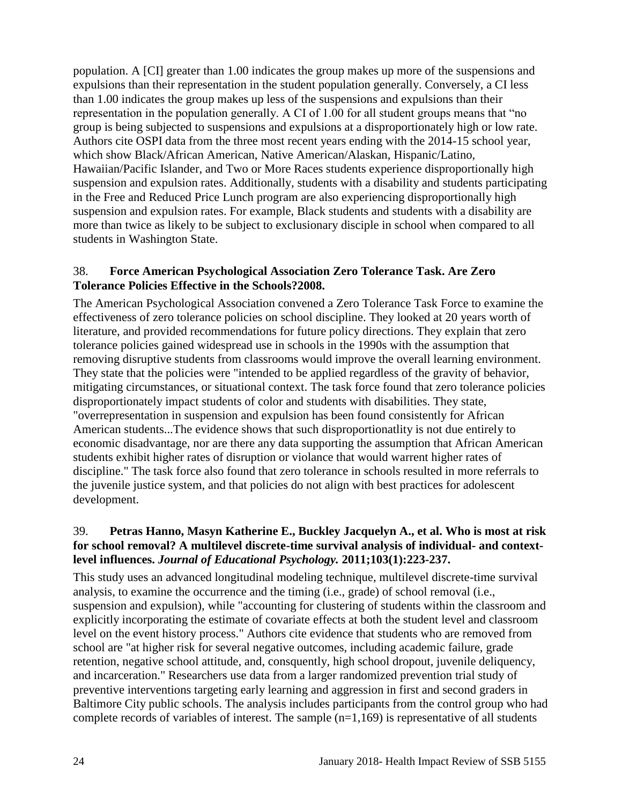population. A [CI] greater than 1.00 indicates the group makes up more of the suspensions and expulsions than their representation in the student population generally. Conversely, a CI less than 1.00 indicates the group makes up less of the suspensions and expulsions than their representation in the population generally. A CI of 1.00 for all student groups means that "no group is being subjected to suspensions and expulsions at a disproportionately high or low rate. Authors cite OSPI data from the three most recent years ending with the 2014-15 school year, which show Black/African American, Native American/Alaskan, Hispanic/Latino, Hawaiian/Pacific Islander, and Two or More Races students experience disproportionally high suspension and expulsion rates. Additionally, students with a disability and students participating in the Free and Reduced Price Lunch program are also experiencing disproportionally high suspension and expulsion rates. For example, Black students and students with a disability are more than twice as likely to be subject to exclusionary disciple in school when compared to all students in Washington State.

### <span id="page-25-0"></span>38. **Force American Psychological Association Zero Tolerance Task. Are Zero Tolerance Policies Effective in the Schools?2008.**

The American Psychological Association convened a Zero Tolerance Task Force to examine the effectiveness of zero tolerance policies on school discipline. They looked at 20 years worth of literature, and provided recommendations for future policy directions. They explain that zero tolerance policies gained widespread use in schools in the 1990s with the assumption that removing disruptive students from classrooms would improve the overall learning environment. They state that the policies were "intended to be applied regardless of the gravity of behavior, mitigating circumstances, or situational context. The task force found that zero tolerance policies disproportionately impact students of color and students with disabilities. They state, "overrepresentation in suspension and expulsion has been found consistently for African American students...The evidence shows that such disproportionatlity is not due entirely to economic disadvantage, nor are there any data supporting the assumption that African American students exhibit higher rates of disruption or violance that would warrent higher rates of discipline." The task force also found that zero tolerance in schools resulted in more referrals to the juvenile justice system, and that policies do not align with best practices for adolescent development.

### <span id="page-25-1"></span>39. **Petras Hanno, Masyn Katherine E., Buckley Jacquelyn A., et al. Who is most at risk for school removal? A multilevel discrete-time survival analysis of individual- and contextlevel influences.** *Journal of Educational Psychology.* **2011;103(1):223-237.**

This study uses an advanced longitudinal modeling technique, multilevel discrete-time survival analysis, to examine the occurrence and the timing (i.e., grade) of school removal (i.e., suspension and expulsion), while "accounting for clustering of students within the classroom and explicitly incorporating the estimate of covariate effects at both the student level and classroom level on the event history process." Authors cite evidence that students who are removed from school are "at higher risk for several negative outcomes, including academic failure, grade retention, negative school attitude, and, consquently, high school dropout, juvenile deliquency, and incarceration." Researchers use data from a larger randomized prevention trial study of preventive interventions targeting early learning and aggression in first and second graders in Baltimore City public schools. The analysis includes participants from the control group who had complete records of variables of interest. The sample  $(n=1,169)$  is representative of all students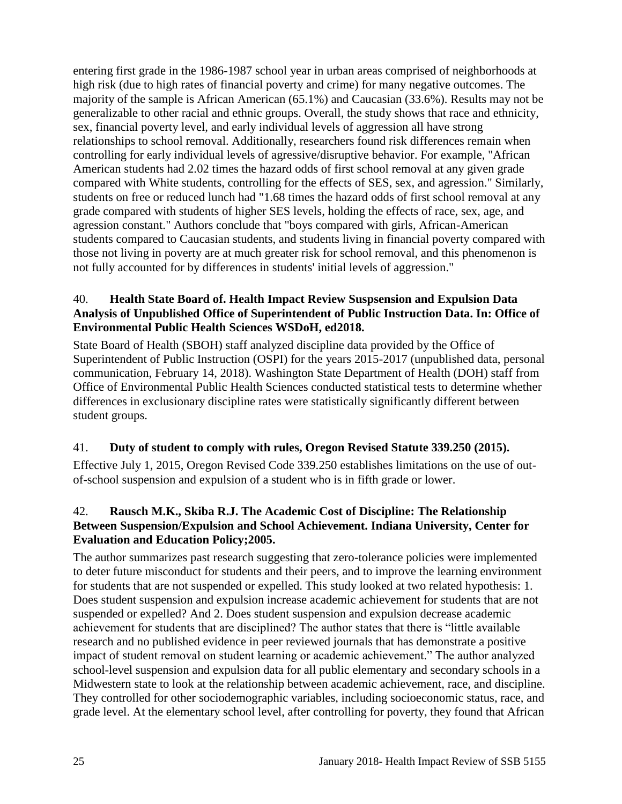entering first grade in the 1986-1987 school year in urban areas comprised of neighborhoods at high risk (due to high rates of financial poverty and crime) for many negative outcomes. The majority of the sample is African American (65.1%) and Caucasian (33.6%). Results may not be generalizable to other racial and ethnic groups. Overall, the study shows that race and ethnicity, sex, financial poverty level, and early individual levels of aggression all have strong relationships to school removal. Additionally, researchers found risk differences remain when controlling for early individual levels of agressive/disruptive behavior. For example, "African American students had 2.02 times the hazard odds of first school removal at any given grade compared with White students, controlling for the effects of SES, sex, and agression." Similarly, students on free or reduced lunch had "1.68 times the hazard odds of first school removal at any grade compared with students of higher SES levels, holding the effects of race, sex, age, and agression constant." Authors conclude that "boys compared with girls, African-American students compared to Caucasian students, and students living in financial poverty compared with those not living in poverty are at much greater risk for school removal, and this phenomenon is not fully accounted for by differences in students' initial levels of aggression."

### 40. **Health State Board of. Health Impact Review Suspsension and Expulsion Data Analysis of Unpublished Office of Superintendent of Public Instruction Data. In: Office of Environmental Public Health Sciences WSDoH, ed2018.**

State Board of Health (SBOH) staff analyzed discipline data provided by the Office of Superintendent of Public Instruction (OSPI) for the years 2015-2017 (unpublished data, personal communication, February 14, 2018). Washington State Department of Health (DOH) staff from Office of Environmental Public Health Sciences conducted statistical tests to determine whether differences in exclusionary discipline rates were statistically significantly different between student groups.

### 41. **Duty of student to comply with rules, Oregon Revised Statute 339.250 (2015).**

Effective July 1, 2015, Oregon Revised Code 339.250 establishes limitations on the use of outof-school suspension and expulsion of a student who is in fifth grade or lower.

### <span id="page-26-0"></span>42. **Rausch M.K., Skiba R.J. The Academic Cost of Discipline: The Relationship Between Suspension/Expulsion and School Achievement. Indiana University, Center for Evaluation and Education Policy;2005.**

The author summarizes past research suggesting that zero-tolerance policies were implemented to deter future misconduct for students and their peers, and to improve the learning environment for students that are not suspended or expelled. This study looked at two related hypothesis: 1. Does student suspension and expulsion increase academic achievement for students that are not suspended or expelled? And 2. Does student suspension and expulsion decrease academic achievement for students that are disciplined? The author states that there is "little available research and no published evidence in peer reviewed journals that has demonstrate a positive impact of student removal on student learning or academic achievement." The author analyzed school-level suspension and expulsion data for all public elementary and secondary schools in a Midwestern state to look at the relationship between academic achievement, race, and discipline. They controlled for other sociodemographic variables, including socioeconomic status, race, and grade level. At the elementary school level, after controlling for poverty, they found that African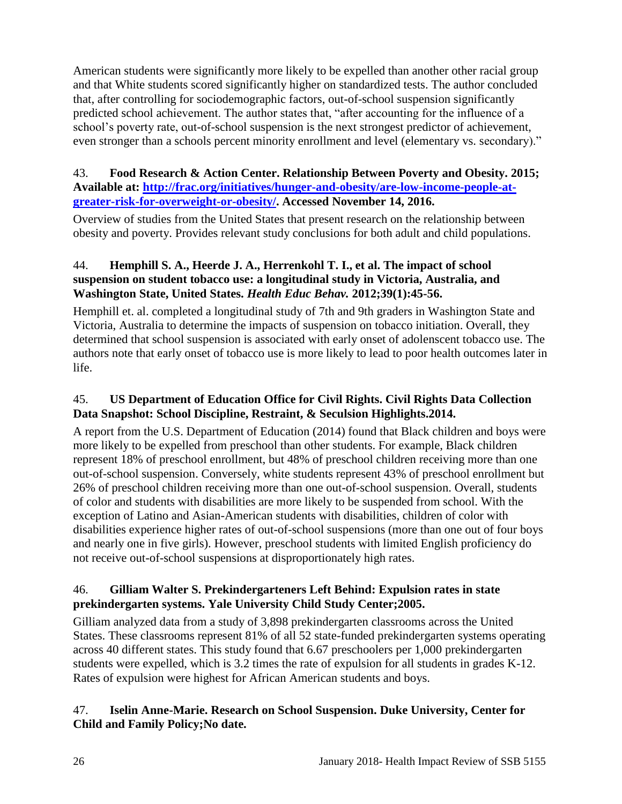American students were significantly more likely to be expelled than another other racial group and that White students scored significantly higher on standardized tests. The author concluded that, after controlling for sociodemographic factors, out-of-school suspension significantly predicted school achievement. The author states that, "after accounting for the influence of a school's poverty rate, out-of-school suspension is the next strongest predictor of achievement, even stronger than a schools percent minority enrollment and level (elementary vs. secondary)."

### <span id="page-27-0"></span>43. **Food Research & Action Center. Relationship Between Poverty and Obesity. 2015; Available at: [http://frac.org/initiatives/hunger-and-obesity/are-low-income-people-at](http://frac.org/initiatives/hunger-and-obesity/are-low-income-people-at-greater-risk-for-overweight-or-obesity/)[greater-risk-for-overweight-or-obesity/.](http://frac.org/initiatives/hunger-and-obesity/are-low-income-people-at-greater-risk-for-overweight-or-obesity/) Accessed November 14, 2016.**

Overview of studies from the United States that present research on the relationship between obesity and poverty. Provides relevant study conclusions for both adult and child populations.

### <span id="page-27-1"></span>44. **Hemphill S. A., Heerde J. A., Herrenkohl T. I., et al. The impact of school suspension on student tobacco use: a longitudinal study in Victoria, Australia, and Washington State, United States.** *Health Educ Behav.* **2012;39(1):45-56.**

Hemphill et. al. completed a longitudinal study of 7th and 9th graders in Washington State and Victoria, Australia to determine the impacts of suspension on tobacco initiation. Overall, they determined that school suspension is associated with early onset of adolenscent tobacco use. The authors note that early onset of tobacco use is more likely to lead to poor health outcomes later in life.

### <span id="page-27-2"></span>45. **US Department of Education Office for Civil Rights. Civil Rights Data Collection Data Snapshot: School Discipline, Restraint, & Seculsion Highlights.2014.**

A report from the U.S. Department of Education (2014) found that Black children and boys were more likely to be expelled from preschool than other students. For example, Black children represent 18% of preschool enrollment, but 48% of preschool children receiving more than one out-of-school suspension. Conversely, white students represent 43% of preschool enrollment but 26% of preschool children receiving more than one out-of-school suspension. Overall, students of color and students with disabilities are more likely to be suspended from school. With the exception of Latino and Asian-American students with disabilities, children of color with disabilities experience higher rates of out-of-school suspensions (more than one out of four boys and nearly one in five girls). However, preschool students with limited English proficiency do not receive out-of-school suspensions at disproportionately high rates.

### <span id="page-27-3"></span>46. **Gilliam Walter S. Prekindergarteners Left Behind: Expulsion rates in state prekindergarten systems. Yale University Child Study Center;2005.**

Gilliam analyzed data from a study of 3,898 prekindergarten classrooms across the United States. These classrooms represent 81% of all 52 state-funded prekindergarten systems operating across 40 different states. This study found that 6.67 preschoolers per 1,000 prekindergarten students were expelled, which is 3.2 times the rate of expulsion for all students in grades K-12. Rates of expulsion were highest for African American students and boys.

### <span id="page-27-4"></span>47. **Iselin Anne-Marie. Research on School Suspension. Duke University, Center for Child and Family Policy;No date.**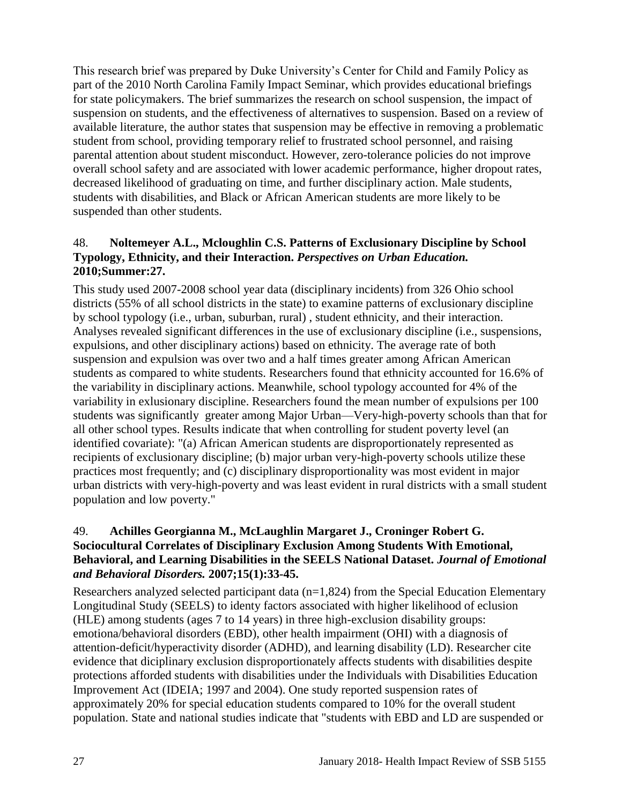This research brief was prepared by Duke University's Center for Child and Family Policy as part of the 2010 North Carolina Family Impact Seminar, which provides educational briefings for state policymakers. The brief summarizes the research on school suspension, the impact of suspension on students, and the effectiveness of alternatives to suspension. Based on a review of available literature, the author states that suspension may be effective in removing a problematic student from school, providing temporary relief to frustrated school personnel, and raising parental attention about student misconduct. However, zero-tolerance policies do not improve overall school safety and are associated with lower academic performance, higher dropout rates, decreased likelihood of graduating on time, and further disciplinary action. Male students, students with disabilities, and Black or African American students are more likely to be suspended than other students.

### 48. **Noltemeyer A.L., Mcloughlin C.S. Patterns of Exclusionary Discipline by School Typology, Ethnicity, and their Interaction.** *Perspectives on Urban Education.*  **2010;Summer:27.**

This study used 2007-2008 school year data (disciplinary incidents) from 326 Ohio school districts (55% of all school districts in the state) to examine patterns of exclusionary discipline by school typology (i.e., urban, suburban, rural) , student ethnicity, and their interaction. Analyses revealed significant differences in the use of exclusionary discipline (i.e., suspensions, expulsions, and other disciplinary actions) based on ethnicity. The average rate of both suspension and expulsion was over two and a half times greater among African American students as compared to white students. Researchers found that ethnicity accounted for 16.6% of the variability in disciplinary actions. Meanwhile, school typology accounted for 4% of the variability in exlusionary discipline. Researchers found the mean number of expulsions per 100 students was significantly greater among Major Urban—Very-high-poverty schools than that for all other school types. Results indicate that when controlling for student poverty level (an identified covariate): "(a) African American students are disproportionately represented as recipients of exclusionary discipline; (b) major urban very-high-poverty schools utilize these practices most frequently; and (c) disciplinary disproportionality was most evident in major urban districts with very-high-poverty and was least evident in rural districts with a small student population and low poverty."

### <span id="page-28-0"></span>49. **Achilles Georgianna M., McLaughlin Margaret J., Croninger Robert G. Sociocultural Correlates of Disciplinary Exclusion Among Students With Emotional, Behavioral, and Learning Disabilities in the SEELS National Dataset.** *Journal of Emotional and Behavioral Disorders.* **2007;15(1):33-45.**

Researchers analyzed selected participant data  $(n=1,824)$  from the Special Education Elementary Longitudinal Study (SEELS) to identy factors associated with higher likelihood of eclusion (HLE) among students (ages 7 to 14 years) in three high-exclusion disability groups: emotiona/behavioral disorders (EBD), other health impairment (OHI) with a diagnosis of attention-deficit/hyperactivity disorder (ADHD), and learning disability (LD). Researcher cite evidence that diciplinary exclusion disproportionately affects students with disabilities despite protections afforded students with disabilities under the Individuals with Disabilities Education Improvement Act (IDEIA; 1997 and 2004). One study reported suspension rates of approximately 20% for special education students compared to 10% for the overall student population. State and national studies indicate that "students with EBD and LD are suspended or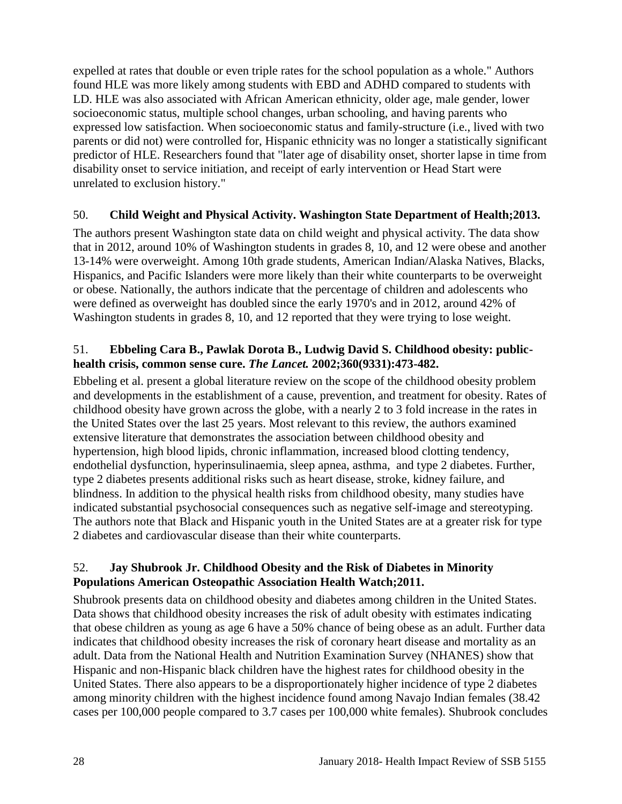expelled at rates that double or even triple rates for the school population as a whole." Authors found HLE was more likely among students with EBD and ADHD compared to students with LD. HLE was also associated with African American ethnicity, older age, male gender, lower socioeconomic status, multiple school changes, urban schooling, and having parents who expressed low satisfaction. When socioeconomic status and family-structure (i.e., lived with two parents or did not) were controlled for, Hispanic ethnicity was no longer a statistically significant predictor of HLE. Researchers found that "later age of disability onset, shorter lapse in time from disability onset to service initiation, and receipt of early intervention or Head Start were unrelated to exclusion history."

### <span id="page-29-0"></span>50. **Child Weight and Physical Activity. Washington State Department of Health;2013.**

The authors present Washington state data on child weight and physical activity. The data show that in 2012, around 10% of Washington students in grades 8, 10, and 12 were obese and another 13-14% were overweight. Among 10th grade students, American Indian/Alaska Natives, Blacks, Hispanics, and Pacific Islanders were more likely than their white counterparts to be overweight or obese. Nationally, the authors indicate that the percentage of children and adolescents who were defined as overweight has doubled since the early 1970's and in 2012, around 42% of Washington students in grades 8, 10, and 12 reported that they were trying to lose weight.

### 51. **Ebbeling Cara B., Pawlak Dorota B., Ludwig David S. Childhood obesity: publichealth crisis, common sense cure.** *The Lancet.* **2002;360(9331):473-482.**

Ebbeling et al. present a global literature review on the scope of the childhood obesity problem and developments in the establishment of a cause, prevention, and treatment for obesity. Rates of childhood obesity have grown across the globe, with a nearly 2 to 3 fold increase in the rates in the United States over the last 25 years. Most relevant to this review, the authors examined extensive literature that demonstrates the association between childhood obesity and hypertension, high blood lipids, chronic inflammation, increased blood clotting tendency, endothelial dysfunction, hyperinsulinaemia, sleep apnea, asthma, and type 2 diabetes. Further, type 2 diabetes presents additional risks such as heart disease, stroke, kidney failure, and blindness. In addition to the physical health risks from childhood obesity, many studies have indicated substantial psychosocial consequences such as negative self-image and stereotyping. The authors note that Black and Hispanic youth in the United States are at a greater risk for type 2 diabetes and cardiovascular disease than their white counterparts.

### 52. **Jay Shubrook Jr. Childhood Obesity and the Risk of Diabetes in Minority Populations American Osteopathic Association Health Watch;2011.**

Shubrook presents data on childhood obesity and diabetes among children in the United States. Data shows that childhood obesity increases the risk of adult obesity with estimates indicating that obese children as young as age 6 have a 50% chance of being obese as an adult. Further data indicates that childhood obesity increases the risk of coronary heart disease and mortality as an adult. Data from the National Health and Nutrition Examination Survey (NHANES) show that Hispanic and non-Hispanic black children have the highest rates for childhood obesity in the United States. There also appears to be a disproportionately higher incidence of type 2 diabetes among minority children with the highest incidence found among Navajo Indian females (38.42 cases per 100,000 people compared to 3.7 cases per 100,000 white females). Shubrook concludes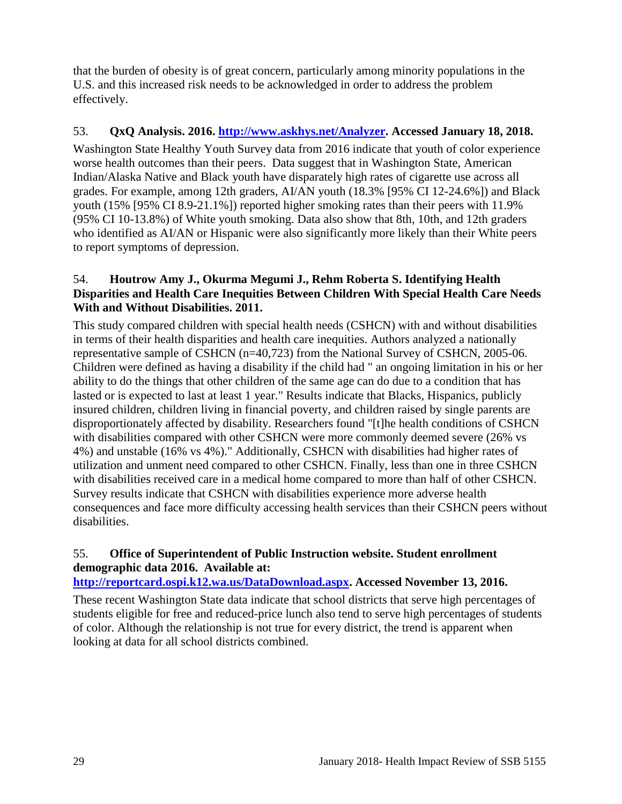that the burden of obesity is of great concern, particularly among minority populations in the U.S. and this increased risk needs to be acknowledged in order to address the problem effectively.

### <span id="page-30-0"></span>53. **QxQ Analysis. 2016. [http://www.askhys.net/Analyzer.](http://www.askhys.net/Analyzer) Accessed January 18, 2018.**

Washington State Healthy Youth Survey data from 2016 indicate that youth of color experience worse health outcomes than their peers. Data suggest that in Washington State, American Indian/Alaska Native and Black youth have disparately high rates of cigarette use across all grades. For example, among 12th graders, AI/AN youth (18.3% [95% CI 12-24.6%]) and Black youth (15% [95% CI 8.9-21.1%]) reported higher smoking rates than their peers with 11.9% (95% CI 10-13.8%) of White youth smoking. Data also show that 8th, 10th, and 12th graders who identified as AI/AN or Hispanic were also significantly more likely than their White peers to report symptoms of depression.

### <span id="page-30-1"></span>54. **Houtrow Amy J., Okurma Megumi J., Rehm Roberta S. Identifying Health Disparities and Health Care Inequities Between Children With Special Health Care Needs With and Without Disabilities. 2011.**

This study compared children with special health needs (CSHCN) with and without disabilities in terms of their health disparities and health care inequities. Authors analyzed a nationally representative sample of CSHCN (n=40,723) from the National Survey of CSHCN, 2005-06. Children were defined as having a disability if the child had " an ongoing limitation in his or her ability to do the things that other children of the same age can do due to a condition that has lasted or is expected to last at least 1 year." Results indicate that Blacks, Hispanics, publicly insured children, children living in financial poverty, and children raised by single parents are disproportionately affected by disability. Researchers found "[t]he health conditions of CSHCN with disabilities compared with other CSHCN were more commonly deemed severe (26% vs 4%) and unstable (16% vs 4%)." Additionally, CSHCN with disabilities had higher rates of utilization and unment need compared to other CSHCN. Finally, less than one in three CSHCN with disabilities received care in a medical home compared to more than half of other CSHCN. Survey results indicate that CSHCN with disabilities experience more adverse health consequences and face more difficulty accessing health services than their CSHCN peers without disabilities.

### 55. **Office of Superintendent of Public Instruction website. Student enrollment demographic data 2016. Available at:**

**[http://reportcard.ospi.k12.wa.us/DataDownload.aspx.](http://reportcard.ospi.k12.wa.us/DataDownload.aspx) Accessed November 13, 2016.**

These recent Washington State data indicate that school districts that serve high percentages of students eligible for free and reduced-price lunch also tend to serve high percentages of students of color. Although the relationship is not true for every district, the trend is apparent when looking at data for all school districts combined.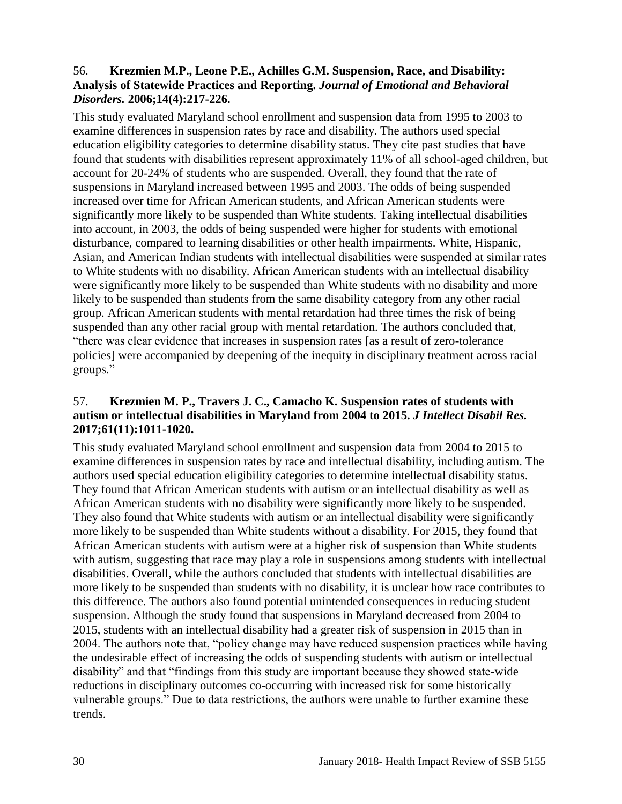### <span id="page-31-0"></span>56. **Krezmien M.P., Leone P.E., Achilles G.M. Suspension, Race, and Disability: Analysis of Statewide Practices and Reporting.** *Journal of Emotional and Behavioral Disorders.* **2006;14(4):217-226.**

This study evaluated Maryland school enrollment and suspension data from 1995 to 2003 to examine differences in suspension rates by race and disability. The authors used special education eligibility categories to determine disability status. They cite past studies that have found that students with disabilities represent approximately 11% of all school-aged children, but account for 20-24% of students who are suspended. Overall, they found that the rate of suspensions in Maryland increased between 1995 and 2003. The odds of being suspended increased over time for African American students, and African American students were significantly more likely to be suspended than White students. Taking intellectual disabilities into account, in 2003, the odds of being suspended were higher for students with emotional disturbance, compared to learning disabilities or other health impairments. White, Hispanic, Asian, and American Indian students with intellectual disabilities were suspended at similar rates to White students with no disability. African American students with an intellectual disability were significantly more likely to be suspended than White students with no disability and more likely to be suspended than students from the same disability category from any other racial group. African American students with mental retardation had three times the risk of being suspended than any other racial group with mental retardation. The authors concluded that, "there was clear evidence that increases in suspension rates [as a result of zero-tolerance policies] were accompanied by deepening of the inequity in disciplinary treatment across racial groups."

### <span id="page-31-1"></span>57. **Krezmien M. P., Travers J. C., Camacho K. Suspension rates of students with autism or intellectual disabilities in Maryland from 2004 to 2015.** *J Intellect Disabil Res.*  **2017;61(11):1011-1020.**

This study evaluated Maryland school enrollment and suspension data from 2004 to 2015 to examine differences in suspension rates by race and intellectual disability, including autism. The authors used special education eligibility categories to determine intellectual disability status. They found that African American students with autism or an intellectual disability as well as African American students with no disability were significantly more likely to be suspended. They also found that White students with autism or an intellectual disability were significantly more likely to be suspended than White students without a disability. For 2015, they found that African American students with autism were at a higher risk of suspension than White students with autism, suggesting that race may play a role in suspensions among students with intellectual disabilities. Overall, while the authors concluded that students with intellectual disabilities are more likely to be suspended than students with no disability, it is unclear how race contributes to this difference. The authors also found potential unintended consequences in reducing student suspension. Although the study found that suspensions in Maryland decreased from 2004 to 2015, students with an intellectual disability had a greater risk of suspension in 2015 than in 2004. The authors note that, "policy change may have reduced suspension practices while having the undesirable effect of increasing the odds of suspending students with autism or intellectual disability" and that "findings from this study are important because they showed state-wide reductions in disciplinary outcomes co-occurring with increased risk for some historically vulnerable groups." Due to data restrictions, the authors were unable to further examine these trends.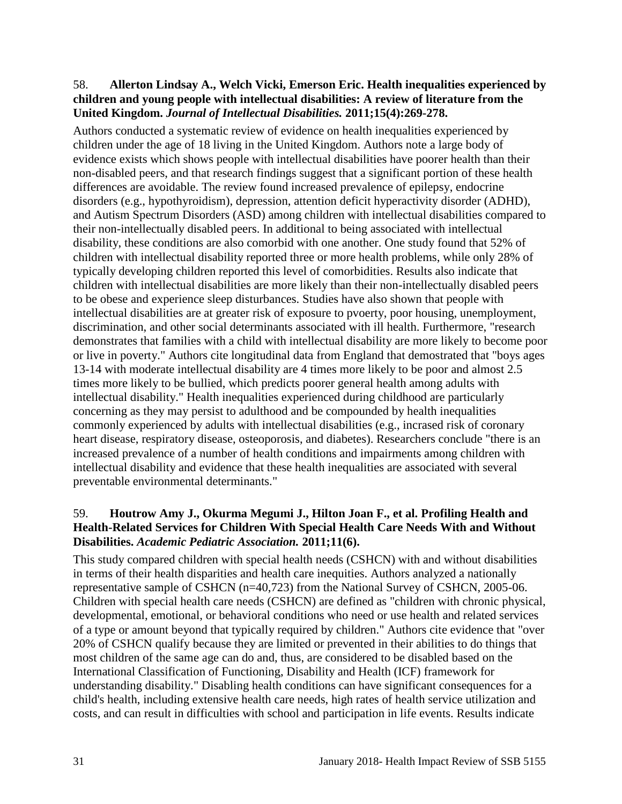#### <span id="page-32-0"></span>58. **Allerton Lindsay A., Welch Vicki, Emerson Eric. Health inequalities experienced by children and young people with intellectual disabilities: A review of literature from the United Kingdom.** *Journal of Intellectual Disabilities.* **2011;15(4):269-278.**

Authors conducted a systematic review of evidence on health inequalities experienced by children under the age of 18 living in the United Kingdom. Authors note a large body of evidence exists which shows people with intellectual disabilities have poorer health than their non-disabled peers, and that research findings suggest that a significant portion of these health differences are avoidable. The review found increased prevalence of epilepsy, endocrine disorders (e.g., hypothyroidism), depression, attention deficit hyperactivity disorder (ADHD), and Autism Spectrum Disorders (ASD) among children with intellectual disabilities compared to their non-intellectually disabled peers. In additional to being associated with intellectual disability, these conditions are also comorbid with one another. One study found that 52% of children with intellectual disability reported three or more health problems, while only 28% of typically developing children reported this level of comorbidities. Results also indicate that children with intellectual disabilities are more likely than their non-intellectually disabled peers to be obese and experience sleep disturbances. Studies have also shown that people with intellectual disabilities are at greater risk of exposure to pvoerty, poor housing, unemployment, discrimination, and other social determinants associated with ill health. Furthermore, "research demonstrates that families with a child with intellectual disability are more likely to become poor or live in poverty." Authors cite longitudinal data from England that demostrated that "boys ages 13-14 with moderate intellectual disability are 4 times more likely to be poor and almost 2.5 times more likely to be bullied, which predicts poorer general health among adults with intellectual disability." Health inequalities experienced during childhood are particularly concerning as they may persist to adulthood and be compounded by health inequalities commonly experienced by adults with intellectual disabilities (e.g., incrased risk of coronary heart disease, respiratory disease, osteoporosis, and diabetes). Researchers conclude "there is an increased prevalence of a number of health conditions and impairments among children with intellectual disability and evidence that these health inequalities are associated with several preventable environmental determinants."

### <span id="page-32-1"></span>59. **Houtrow Amy J., Okurma Megumi J., Hilton Joan F., et al. Profiling Health and Health-Related Services for Children With Special Health Care Needs With and Without Disabilities.** *Academic Pediatric Association.* **2011;11(6).**

This study compared children with special health needs (CSHCN) with and without disabilities in terms of their health disparities and health care inequities. Authors analyzed a nationally representative sample of CSHCN (n=40,723) from the National Survey of CSHCN, 2005-06. Children with special health care needs (CSHCN) are defined as "children with chronic physical, developmental, emotional, or behavioral conditions who need or use health and related services of a type or amount beyond that typically required by children." Authors cite evidence that "over 20% of CSHCN qualify because they are limited or prevented in their abilities to do things that most children of the same age can do and, thus, are considered to be disabled based on the International Classification of Functioning, Disability and Health (ICF) framework for understanding disability." Disabling health conditions can have significant consequences for a child's health, including extensive health care needs, high rates of health service utilization and costs, and can result in difficulties with school and participation in life events. Results indicate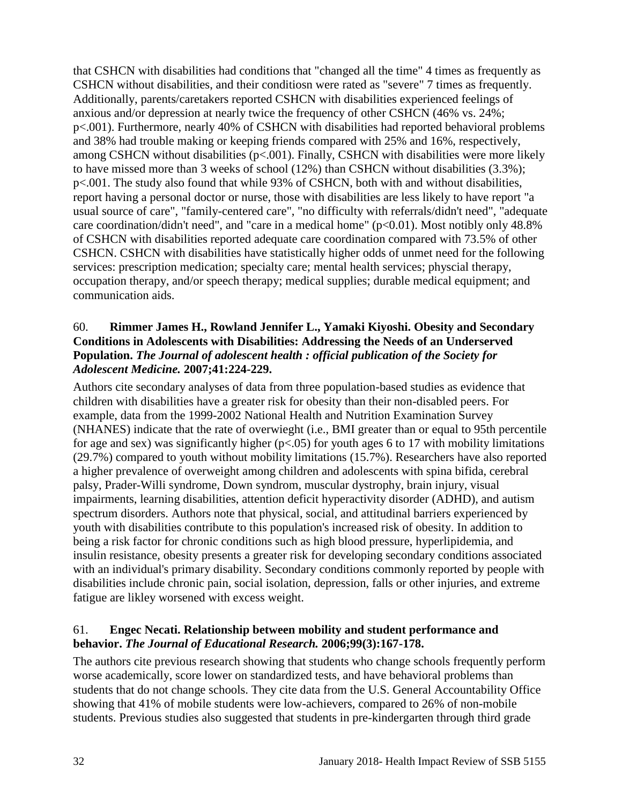that CSHCN with disabilities had conditions that "changed all the time" 4 times as frequently as CSHCN without disabilities, and their conditiosn were rated as "severe" 7 times as frequently. Additionally, parents/caretakers reported CSHCN with disabilities experienced feelings of anxious and/or depression at nearly twice the frequency of other CSHCN (46% vs. 24%; p<.001). Furthermore, nearly 40% of CSHCN with disabilities had reported behavioral problems and 38% had trouble making or keeping friends compared with 25% and 16%, respectively, among CSHCN without disabilities ( $p<.001$ ). Finally, CSHCN with disabilities were more likely to have missed more than 3 weeks of school (12%) than CSHCN without disabilities (3.3%); p<.001. The study also found that while 93% of CSHCN, both with and without disabilities, report having a personal doctor or nurse, those with disabilities are less likely to have report "a usual source of care", "family-centered care", "no difficulty with referrals/didn't need", "adequate care coordination/didn't need", and "care in a medical home" (p<0.01). Most notibly only 48.8% of CSHCN with disabilities reported adequate care coordination compared with 73.5% of other CSHCN. CSHCN with disabilities have statistically higher odds of unmet need for the following services: prescription medication; specialty care; mental health services; physcial therapy, occupation therapy, and/or speech therapy; medical supplies; durable medical equipment; and communication aids.

#### 60. **Rimmer James H., Rowland Jennifer L., Yamaki Kiyoshi. Obesity and Secondary Conditions in Adolescents with Disabilities: Addressing the Needs of an Underserved Population.** *The Journal of adolescent health : official publication of the Society for Adolescent Medicine.* **2007;41:224-229.**

Authors cite secondary analyses of data from three population-based studies as evidence that children with disabilities have a greater risk for obesity than their non-disabled peers. For example, data from the 1999-2002 National Health and Nutrition Examination Survey (NHANES) indicate that the rate of overwieght (i.e., BMI greater than or equal to 95th percentile for age and sex) was significantly higher ( $p<0.05$ ) for youth ages 6 to 17 with mobility limitations (29.7%) compared to youth without mobility limitations (15.7%). Researchers have also reported a higher prevalence of overweight among children and adolescents with spina bifida, cerebral palsy, Prader-Willi syndrome, Down syndrom, muscular dystrophy, brain injury, visual impairments, learning disabilities, attention deficit hyperactivity disorder (ADHD), and autism spectrum disorders. Authors note that physical, social, and attitudinal barriers experienced by youth with disabilities contribute to this population's increased risk of obesity. In addition to being a risk factor for chronic conditions such as high blood pressure, hyperlipidemia, and insulin resistance, obesity presents a greater risk for developing secondary conditions associated with an individual's primary disability. Secondary conditions commonly reported by people with disabilities include chronic pain, social isolation, depression, falls or other injuries, and extreme fatigue are likley worsened with excess weight.

### 61. **Engec Necati. Relationship between mobility and student performance and behavior.** *The Journal of Educational Research.* **2006;99(3):167-178.**

The authors cite previous research showing that students who change schools frequently perform worse academically, score lower on standardized tests, and have behavioral problems than students that do not change schools. They cite data from the U.S. General Accountability Office showing that 41% of mobile students were low-achievers, compared to 26% of non-mobile students. Previous studies also suggested that students in pre-kindergarten through third grade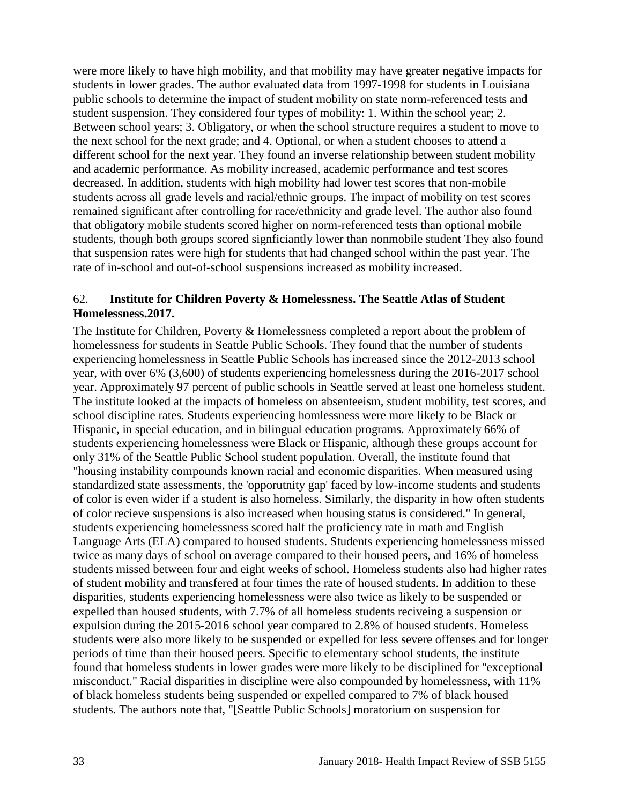were more likely to have high mobility, and that mobility may have greater negative impacts for students in lower grades. The author evaluated data from 1997-1998 for students in Louisiana public schools to determine the impact of student mobility on state norm-referenced tests and student suspension. They considered four types of mobility: 1. Within the school year; 2. Between school years; 3. Obligatory, or when the school structure requires a student to move to the next school for the next grade; and 4. Optional, or when a student chooses to attend a different school for the next year. They found an inverse relationship between student mobility and academic performance. As mobility increased, academic performance and test scores decreased. In addition, students with high mobility had lower test scores that non-mobile students across all grade levels and racial/ethnic groups. The impact of mobility on test scores remained significant after controlling for race/ethnicity and grade level. The author also found that obligatory mobile students scored higher on norm-referenced tests than optional mobile students, though both groups scored signficiantly lower than nonmobile student They also found that suspension rates were high for students that had changed school within the past year. The rate of in-school and out-of-school suspensions increased as mobility increased.

#### 62. **Institute for Children Poverty & Homelessness. The Seattle Atlas of Student Homelessness.2017.**

The Institute for Children, Poverty & Homelessness completed a report about the problem of homelessness for students in Seattle Public Schools. They found that the number of students experiencing homelessness in Seattle Public Schools has increased since the 2012-2013 school year, with over 6% (3,600) of students experiencing homelessness during the 2016-2017 school year. Approximately 97 percent of public schools in Seattle served at least one homeless student. The institute looked at the impacts of homeless on absenteeism, student mobility, test scores, and school discipline rates. Students experiencing homlessness were more likely to be Black or Hispanic, in special education, and in bilingual education programs. Approximately 66% of students experiencing homelessness were Black or Hispanic, although these groups account for only 31% of the Seattle Public School student population. Overall, the institute found that "housing instability compounds known racial and economic disparities. When measured using standardized state assessments, the 'opporutnity gap' faced by low-income students and students of color is even wider if a student is also homeless. Similarly, the disparity in how often students of color recieve suspensions is also increased when housing status is considered." In general, students experiencing homelessness scored half the proficiency rate in math and English Language Arts (ELA) compared to housed students. Students experiencing homelessness missed twice as many days of school on average compared to their housed peers, and 16% of homeless students missed between four and eight weeks of school. Homeless students also had higher rates of student mobility and transfered at four times the rate of housed students. In addition to these disparities, students experiencing homelessness were also twice as likely to be suspended or expelled than housed students, with 7.7% of all homeless students reciveing a suspension or expulsion during the 2015-2016 school year compared to 2.8% of housed students. Homeless students were also more likely to be suspended or expelled for less severe offenses and for longer periods of time than their housed peers. Specific to elementary school students, the institute found that homeless students in lower grades were more likely to be disciplined for "exceptional misconduct." Racial disparities in discipline were also compounded by homelessness, with 11% of black homeless students being suspended or expelled compared to 7% of black housed students. The authors note that, "[Seattle Public Schools] moratorium on suspension for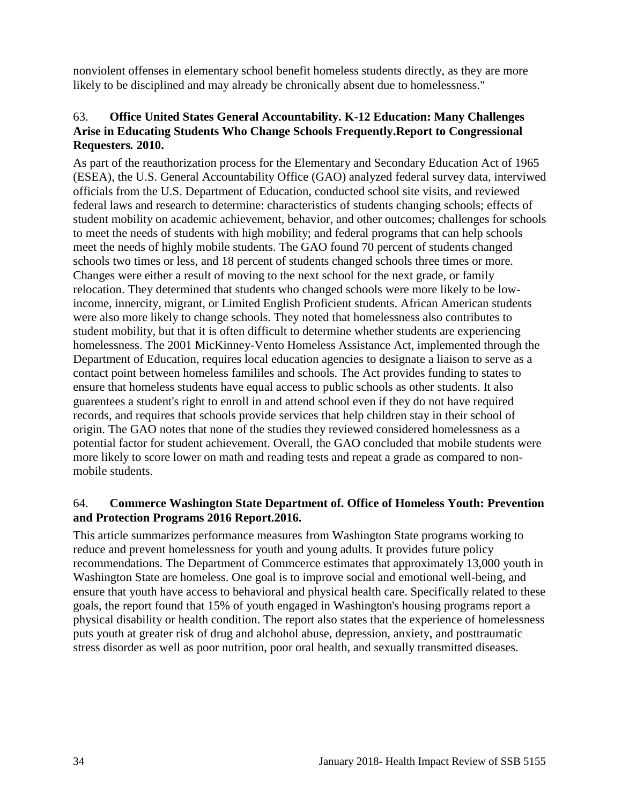nonviolent offenses in elementary school benefit homeless students directly, as they are more likely to be disciplined and may already be chronically absent due to homelessness."

#### 63. **Office United States General Accountability. K-12 Education: Many Challenges Arise in Educating Students Who Change Schools Frequently.Report to Congressional Requesters***.* **2010.**

As part of the reauthorization process for the Elementary and Secondary Education Act of 1965 (ESEA), the U.S. General Accountability Office (GAO) analyzed federal survey data, interviwed officials from the U.S. Department of Education, conducted school site visits, and reviewed federal laws and research to determine: characteristics of students changing schools; effects of student mobility on academic achievement, behavior, and other outcomes; challenges for schools to meet the needs of students with high mobility; and federal programs that can help schools meet the needs of highly mobile students. The GAO found 70 percent of students changed schools two times or less, and 18 percent of students changed schools three times or more. Changes were either a result of moving to the next school for the next grade, or family relocation. They determined that students who changed schools were more likely to be lowincome, innercity, migrant, or Limited English Proficient students. African American students were also more likely to change schools. They noted that homelessness also contributes to student mobility, but that it is often difficult to determine whether students are experiencing homelessness. The 2001 MicKinney-Vento Homeless Assistance Act, implemented through the Department of Education, requires local education agencies to designate a liaison to serve as a contact point between homeless famililes and schools. The Act provides funding to states to ensure that homeless students have equal access to public schools as other students. It also guarentees a student's right to enroll in and attend school even if they do not have required records, and requires that schools provide services that help children stay in their school of origin. The GAO notes that none of the studies they reviewed considered homelessness as a potential factor for student achievement. Overall, the GAO concluded that mobile students were more likely to score lower on math and reading tests and repeat a grade as compared to nonmobile students.

### 64. **Commerce Washington State Department of. Office of Homeless Youth: Prevention and Protection Programs 2016 Report.2016.**

This article summarizes performance measures from Washington State programs working to reduce and prevent homelessness for youth and young adults. It provides future policy recommendations. The Department of Commcerce estimates that approximately 13,000 youth in Washington State are homeless. One goal is to improve social and emotional well-being, and ensure that youth have access to behavioral and physical health care. Specifically related to these goals, the report found that 15% of youth engaged in Washington's housing programs report a physical disability or health condition. The report also states that the experience of homelessness puts youth at greater risk of drug and alchohol abuse, depression, anxiety, and posttraumatic stress disorder as well as poor nutrition, poor oral health, and sexually transmitted diseases.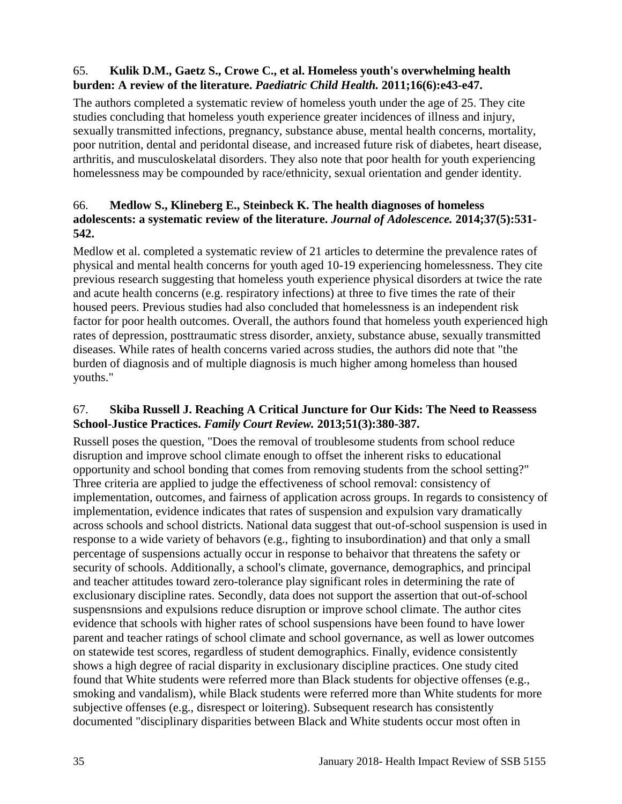### 65. **Kulik D.M., Gaetz S., Crowe C., et al. Homeless youth's overwhelming health burden: A review of the literature.** *Paediatric Child Health.* **2011;16(6):e43-e47.**

The authors completed a systematic review of homeless youth under the age of 25. They cite studies concluding that homeless youth experience greater incidences of illness and injury, sexually transmitted infections, pregnancy, substance abuse, mental health concerns, mortality, poor nutrition, dental and peridontal disease, and increased future risk of diabetes, heart disease, arthritis, and musculoskelatal disorders. They also note that poor health for youth experiencing homelessness may be compounded by race/ethnicity, sexual orientation and gender identity.

### 66. **Medlow S., Klineberg E., Steinbeck K. The health diagnoses of homeless adolescents: a systematic review of the literature.** *Journal of Adolescence.* **2014;37(5):531- 542.**

Medlow et al. completed a systematic review of 21 articles to determine the prevalence rates of physical and mental health concerns for youth aged 10-19 experiencing homelessness. They cite previous research suggesting that homeless youth experience physical disorders at twice the rate and acute health concerns (e.g. respiratory infections) at three to five times the rate of their housed peers. Previous studies had also concluded that homelessness is an independent risk factor for poor health outcomes. Overall, the authors found that homeless youth experienced high rates of depression, posttraumatic stress disorder, anxiety, substance abuse, sexually transmitted diseases. While rates of health concerns varied across studies, the authors did note that "the burden of diagnosis and of multiple diagnosis is much higher among homeless than housed youths."

### <span id="page-36-0"></span>67. **Skiba Russell J. Reaching A Critical Juncture for Our Kids: The Need to Reassess School-Justice Practices.** *Family Court Review.* **2013;51(3):380-387.**

Russell poses the question, "Does the removal of troublesome students from school reduce disruption and improve school climate enough to offset the inherent risks to educational opportunity and school bonding that comes from removing students from the school setting?" Three criteria are applied to judge the effectiveness of school removal: consistency of implementation, outcomes, and fairness of application across groups. In regards to consistency of implementation, evidence indicates that rates of suspension and expulsion vary dramatically across schools and school districts. National data suggest that out-of-school suspension is used in response to a wide variety of behavors (e.g., fighting to insubordination) and that only a small percentage of suspensions actually occur in response to behaivor that threatens the safety or security of schools. Additionally, a school's climate, governance, demographics, and principal and teacher attitudes toward zero-tolerance play significant roles in determining the rate of exclusionary discipline rates. Secondly, data does not support the assertion that out-of-school suspensnsions and expulsions reduce disruption or improve school climate. The author cites evidence that schools with higher rates of school suspensions have been found to have lower parent and teacher ratings of school climate and school governance, as well as lower outcomes on statewide test scores, regardless of student demographics. Finally, evidence consistently shows a high degree of racial disparity in exclusionary discipline practices. One study cited found that White students were referred more than Black students for objective offenses (e.g., smoking and vandalism), while Black students were referred more than White students for more subjective offenses (e.g., disrespect or loitering). Subsequent research has consistently documented "disciplinary disparities between Black and White students occur most often in